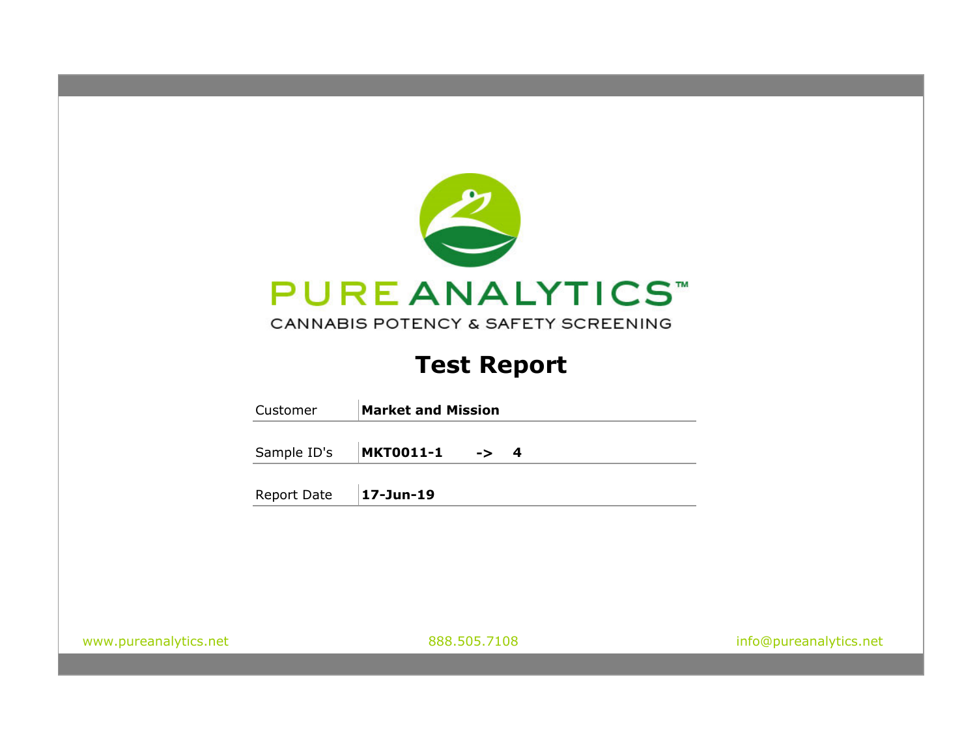

# **Test Report**

|                       | Customer    | <b>Market and Mission</b>           |                        |
|-----------------------|-------------|-------------------------------------|------------------------|
|                       | Sample ID's | <b>MKT0011-1</b><br>$\rightarrow$ 4 |                        |
|                       | Report Date | 17-Jun-19                           |                        |
|                       |             |                                     |                        |
|                       |             |                                     |                        |
|                       |             |                                     |                        |
| www.pureanalytics.net |             | 888.505.7108                        | info@pureanalytics.net |
|                       |             |                                     |                        |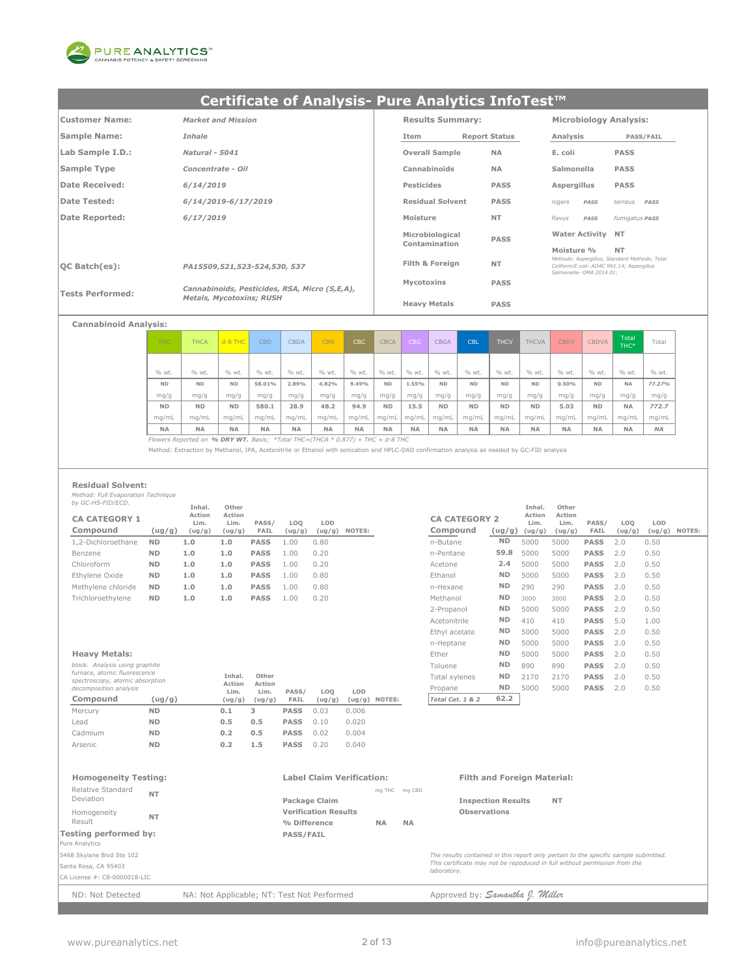

| <b>Customer Name:</b>   | <b>Market and Mission</b>                     | <b>Results Summary:</b> |                      | <b>Microbiology Analysis:</b>                                         |                                               |
|-------------------------|-----------------------------------------------|-------------------------|----------------------|-----------------------------------------------------------------------|-----------------------------------------------|
| <b>Sample Name:</b>     | Inhale                                        | Item                    | <b>Report Status</b> | Analysis                                                              | <b>PASS/FAIL</b>                              |
| Lab Sample I.D.:        | <b>Natural - 5041</b>                         | <b>Overall Sample</b>   | <b>NA</b>            | E. coli                                                               | <b>PASS</b>                                   |
| Sample Type             | Concentrate - Oil                             | Cannabinoids            | <b>NA</b>            | Salmonella                                                            | <b>PASS</b>                                   |
| Date Received:          | 6/14/2019                                     | Pesticides              | <b>PASS</b>          | Aspergillus                                                           | <b>PASS</b>                                   |
| <b>Date Tested:</b>     | 6/14/2019-6/17/2019                           | <b>Residual Solvent</b> | <b>PASS</b>          | nigers<br>PASS                                                        | terreus<br>PASS                               |
| Date Reported:          | 6/17/2019                                     | Moisture                | <b>NT</b>            | flavus<br>PASS                                                        | fumigatus PASS                                |
|                         |                                               | Microbiological         | <b>PASS</b>          | <b>Water Activity NT</b>                                              |                                               |
|                         |                                               | Contamination           |                      | Moisture %                                                            | <b>NT</b>                                     |
| $ OC$ Batch $(es)$ :    | PA15509,521,523-524,530, 537                  | Filth & Foreign         | <b>NT</b>            | Coliform/E.coli- AOAC 991.14: Asperaillus<br>Salmonella- OMA 2014.01: | Methods: Asperaillus, Standard Methods: Total |
|                         | Cannabinoids, Pesticides, RSA, Micro (S,E,A), | Mycotoxins              | <b>PASS</b>          |                                                                       |                                               |
| <b>Tests Performed:</b> | <b>Metals, Mycotoxins; RUSH</b>               | <b>Heavy Metals</b>     | <b>PASS</b>          |                                                                       |                                               |

### **Cannabinoid Analysis:**

| THC.      | <b>THCA</b> | $d - 8$ THC | <b>CBD</b> | <b>CBDA</b> | <b>CBN</b> | CBC       | <b>CBCA</b> | <b>CBG</b> | <b>CBGA</b> | <b>CBL</b> | <b>THCV</b> | <b>THCVA</b> | <b>CBDV</b> | <b>CBDVA</b> | Total<br>THC* | Total     |
|-----------|-------------|-------------|------------|-------------|------------|-----------|-------------|------------|-------------|------------|-------------|--------------|-------------|--------------|---------------|-----------|
|           |             |             |            |             |            |           |             |            |             |            |             |              |             |              |               |           |
| % wt.     | % wt.       | % wt.       | % wt.      | % wt.       | % wt.      | % wt.     | % wt.       | % wt.      | % wt.       | % wt.      | % wt.       | % wt.        | % wt.       | % wt.        | % wt.         | % wt.     |
| <b>ND</b> | <b>ND</b>   | <b>ND</b>   | 58.01%     | 2.89%       | 4.82%      | 9.49%     | <b>ND</b>   | 1.55%      | <b>ND</b>   | <b>ND</b>  | <b>ND</b>   | <b>ND</b>    | 0.50%       | <b>ND</b>    | <b>NA</b>     | 77.27%    |
| mg/g      | mg/g        | mg/g        | mg/g       | mg/g        | mg/g       | mg/g      | mg/g        | mg/g       | mg/g        | mg/g       | mg/g        | mg/g         | mg/g        | mg/g         | mg/g          | mg/g      |
| <b>ND</b> | <b>ND</b>   | <b>ND</b>   | 580.1      | 28.9        | 48.2       | 94.9      | <b>ND</b>   | 15.5       | <b>ND</b>   | <b>ND</b>  | <b>ND</b>   | <b>ND</b>    | 5.03        | <b>ND</b>    | <b>NA</b>     | 772.7     |
| mq/mL     | ma/mL       | ma/mL       | ma/mL      | mg/mL       | mq/mL      | ma/mL     | ma/mL       | mg/mL      | mg/mL       | mq/ml      | mq/mL       | mq/mL        | mq/mL       | mg/mL        | ma/mL         | mg/mL     |
| <b>NA</b> | <b>NA</b>   | <b>NA</b>   | <b>NA</b>  | <b>NA</b>   | <b>NA</b>  | <b>NA</b> | <b>NA</b>   | <b>NA</b>  | <b>NA</b>   | <b>NA</b>  | <b>NA</b>   | <b>NA</b>    | <b>NA</b>   | <b>NA</b>    | <b>NA</b>     | <b>NA</b> |

*Flowers Reported on % DRY WT. Basis; \*Total THC=(THCA \* 0.877) + THC + d-8 THC*

Method: Extraction by Methanol, IPA, Acetonitrile or Ethanol with sonication and HPLC-DAD confirmation analysis as needed by GC-FID analysis

#### **Residual Solvent:**

*Method: Full Evaporation Technique by GC-HS-FID/ECD.*

|                                  |           | Inhal.                   | Other                    |               |                           |               |        |                                  |           | Inhal.                              | Other                    |               |               |      |                 |
|----------------------------------|-----------|--------------------------|--------------------------|---------------|---------------------------|---------------|--------|----------------------------------|-----------|-------------------------------------|--------------------------|---------------|---------------|------|-----------------|
| <b>CA CATEGORY 1</b><br>Compound | (ug/g)    | Action<br>Lim.<br>(ug/g) | Action<br>Lim.<br>(ug/g) | PASS/<br>FAIL | LO <sub>O</sub><br>(ug/g) | LOD<br>(ug/g) | NOTES: | <b>CA CATEGORY 2</b><br>Compound |           | Action<br>Lim.<br>$(ug/g)$ $(ug/g)$ | Action<br>Lim.<br>(ug/g) | PASS/<br>FAIL | LOO<br>(ug/g) | LOD  | $(ug/g)$ NOTES: |
| 1,2-Dichloroethane               | <b>ND</b> | 1.0                      | 1.0                      | <b>PASS</b>   | 1.00                      | 0.80          |        | n-Butane                         | <b>ND</b> | 5000                                | 5000                     | <b>PASS</b>   | 2.0           | 0.50 |                 |
| Benzene                          | <b>ND</b> | 1.0                      | 1.0                      | <b>PASS</b>   | 1.00                      | 0.20          |        | n-Pentane                        | 59.8      | 5000                                | 5000                     | <b>PASS</b>   | 2.0           | 0.50 |                 |
| Chloroform                       | <b>ND</b> | 1.0                      | 1.0                      | <b>PASS</b>   | 1.00                      | 0.20          |        | Acetone                          | 2.4       | 5000                                | 5000                     | <b>PASS</b>   | 2.0           | 0.50 |                 |
| Ethylene Oxide                   | <b>ND</b> | 1.0                      | 1.0                      | <b>PASS</b>   | 1.00                      | 0.80          |        | Ethanol                          | <b>ND</b> | 5000                                | 5000                     | <b>PASS</b>   | 2.0           | 0.50 |                 |
| Methylene chloride               | <b>ND</b> | 1.0                      | 1.0                      | <b>PASS</b>   | 1.00                      | 0.80          |        | n-Hexane                         | <b>ND</b> | 290                                 | 290                      | <b>PASS</b>   | 2.0           | 0.50 |                 |
| Trichloroethylene                | <b>ND</b> | 1.0                      | 1.0                      | <b>PASS</b>   | 1.00                      | 0.20          |        | Methanol                         | <b>ND</b> | 3000                                | 3000                     | <b>PASS</b>   | 2.0           | 0.50 |                 |

| block. Analysis using graphite<br>furnace, atomic fluorescence<br>spectroscopy, atomic absorption<br>decomposition analysis |           | Inhal.<br>Action<br>Lim. | Other<br>Action<br>Lim. | PASS/       | LOO    | LOD    |        |
|-----------------------------------------------------------------------------------------------------------------------------|-----------|--------------------------|-------------------------|-------------|--------|--------|--------|
| Compound                                                                                                                    | (ug/g)    | (ug/g)                   | (ug/g)                  | FAIL        | (ug/g) | (ug/g) | NOTES: |
| Mercury                                                                                                                     | <b>ND</b> | 0.1                      | 3                       | <b>PASS</b> | 0.03   | 0.006  |        |
| Lead                                                                                                                        | <b>ND</b> | 0.5                      | 0.5                     | <b>PASS</b> | 0.10   | 0.020  |        |
| Cadmium                                                                                                                     | <b>ND</b> | 0.2                      | 0.5                     | <b>PASS</b> | 0.02   | 0.004  |        |
| <b>Arsenic</b>                                                                                                              | <b>ND</b> | 0.2                      | 1.5                     | <b>PASS</b> | 0.20   | 0.040  |        |

|                                                                 |           | Inhal.         | Other          |                |        |        |                  |                      |           | Inhal.         | Other          |             |        |        |               |
|-----------------------------------------------------------------|-----------|----------------|----------------|----------------|--------|--------|------------------|----------------------|-----------|----------------|----------------|-------------|--------|--------|---------------|
| <b>CA CATEGORY 1</b>                                            |           | Action<br>Lim. | Action<br>Lim. | PASS/          | LOQ    | LOD    |                  | <b>CA CATEGORY 2</b> |           | Action<br>Lim. | Action<br>Lim. | PASS/       | LOQ    | LOD    |               |
| Compound                                                        | (ug/g)    | (ug/g)         | (ug/g)         | FAIL           | (ug/g) | (ug/g) | NOTES:           | Compound             | (ug/g)    | (ug/g)         | (ug/g)         | FAIL        | (ug/g) | (ug/g) | <b>NOTES:</b> |
| 1,2-Dichloroethane                                              | <b>ND</b> | 1.0            | 1.0            | <b>PASS</b>    | 1.00   | 0.80   |                  | n-Butane             | <b>ND</b> | 5000           | 5000           | <b>PASS</b> | 2.0    | 0.50   |               |
| Benzene                                                         | <b>ND</b> | 1.0            | 1.0            | <b>PASS</b>    | 1.00   | 0.20   |                  | n-Pentane            | 59.8      | 5000           | 5000           | <b>PASS</b> | 2.0    | 0.50   |               |
| Chloroform                                                      | <b>ND</b> | 1.0            | 1.0            | <b>PASS</b>    | 1.00   | 0.20   |                  | Acetone              | 2.4       | 5000           | 5000           | <b>PASS</b> | 2.0    | 0.50   |               |
| Ethvlene Oxide                                                  | <b>ND</b> | 1.0            | 1.0            | <b>PASS</b>    | 1.00   | 0.80   |                  | Ethanol              | <b>ND</b> | 5000           | 5000           | <b>PASS</b> | 2.0    | 0.50   |               |
| Methvlene chloride                                              | <b>ND</b> | 1.0            | 1.0            | <b>PASS</b>    | 1.00   | 0.80   |                  | n-Hexane             | <b>ND</b> | 290            | 290            | <b>PASS</b> | 2.0    | 0.50   |               |
| Trichloroethylene                                               | <b>ND</b> | 1.0            | 1.0            | <b>PASS</b>    | 1.00   | 0.20   |                  | Methanol             | <b>ND</b> | 3000           | 3000           | <b>PASS</b> | 2.0    | 0.50   |               |
|                                                                 |           |                |                |                |        |        |                  | 2-Propanol           | <b>ND</b> | 5000           | 5000           | <b>PASS</b> | 2.0    | 0.50   |               |
|                                                                 |           |                |                |                |        |        |                  | Acetonitrile         | <b>ND</b> | 410            | 410            | <b>PASS</b> | 5.0    | 1.00   |               |
|                                                                 |           |                |                |                |        |        |                  | Ethyl acetate        | <b>ND</b> | 5000           | 5000           | <b>PASS</b> | 2.0    | 0.50   |               |
|                                                                 |           |                |                |                |        |        |                  | n-Heptane            | <b>ND</b> | 5000           | 5000           | <b>PASS</b> | 2.0    | 0.50   |               |
| <b>Heavy Metals:</b>                                            |           |                |                |                |        |        |                  | Ether                | <b>ND</b> | 5000           | 5000           | <b>PASS</b> | 2.0    | 0.50   |               |
| block. Analysis using graphite                                  |           |                |                |                |        |        |                  | Toluene              | <b>ND</b> | 890            | 890            | <b>PASS</b> | 2.0    | 0.50   |               |
| furnace, atomic fluorescence<br>spectroscopy, atomic absorption |           |                | Inhal.         | Other          |        |        |                  | Total xylenes        | <b>ND</b> | 2170           | 2170           | <b>PASS</b> | 2.0    | 0.50   |               |
| decomposition analysis                                          |           |                | Action<br>Lim. | Action<br>Lim. | PASS/  | LOQ    | LOD              | Propane              | <b>ND</b> | 5000           | 5000           | <b>PASS</b> | 2.0    | 0.50   |               |
| Compound                                                        | (ug/g)    |                | (ug/g)         | (ug/g)         | FAIL   | (ug/g) | (ug/g)<br>NOTES: | Total Cat. 1 & 2     | 62.2      |                |                |             |        |        |               |
|                                                                 |           |                |                |                |        |        |                  |                      |           |                |                |             |        |        |               |

#### **Homogeneity Testing: Label Claim Verification: Filth and Foreign Material:** mg THC mg CBD **Package Claim Community Community Community Community Package Claim Verification Results Observations % Difference NA NA Testing performed by: PASS/FAIL** Pure Analytics 5468 Skylane Blvd Ste 102 Santa Rosa, CA 95403 CA License #: C8-0000018-LIC **NT** Homogeneity *The results contained in this report only pertain to the specific sample submitted. This certificate may not be repoduced in full without permission from the laboratory.* Relative Standard **NT** Deviation Result

ND: Not Detected NA: Not Applicable; NT: Test Not Performed Approved by: **Samantha J. Miller**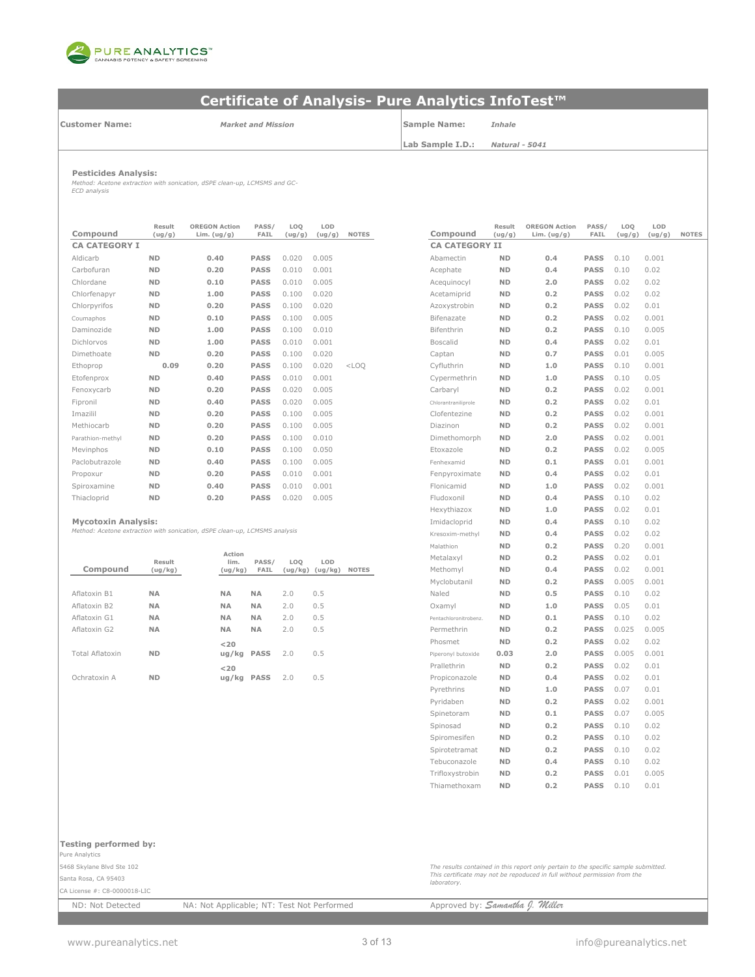

**Customer Name:**

*Market and Mission* **Sample Name:** *Inhale*

**Lab Sample I.D.:**

*Natural - 5041*

**Pesticides Analysis:** *Method: Acetone extraction with sonication, dSPE clean-up, LCMSMS and GC-ECD analysis*

| Compound             | Result<br>(ug/g) | <b>OREGON Action</b><br>Lim. $(ug/g)$ | PASS/<br><b>FAIL</b> | LOQ<br>(ug/g) | LOD<br>(ug/g) | <b>NOTES</b> | Compound              | Result<br>(ug/g) | <b>OREGON Action</b><br>Lim. $(ug/g)$ | PASS/<br>FAIL | LOQ<br>(ug/g) | LOD<br>(ug/ |
|----------------------|------------------|---------------------------------------|----------------------|---------------|---------------|--------------|-----------------------|------------------|---------------------------------------|---------------|---------------|-------------|
| <b>CA CATEGORY I</b> |                  |                                       |                      |               |               |              | <b>CA CATEGORY II</b> |                  |                                       |               |               |             |
| Aldicarb             | <b>ND</b>        | 0.40                                  | <b>PASS</b>          | 0.020         | 0.005         |              | Abamectin             | <b>ND</b>        | 0.4                                   | <b>PASS</b>   | 0.10          | 0.001       |
| Carbofuran           | <b>ND</b>        | 0.20                                  | <b>PASS</b>          | 0.010         | 0.001         |              | Acephate              | <b>ND</b>        | 0.4                                   | <b>PASS</b>   | 0.10          | 0.02        |
| Chlordane            | <b>ND</b>        | 0.10                                  | <b>PASS</b>          | 0.010         | 0.005         |              | Acequinocyl           | <b>ND</b>        | 2.0                                   | <b>PASS</b>   | 0.02          | 0.02        |
| Chlorfenapyr         | <b>ND</b>        | 1.00                                  | <b>PASS</b>          | 0.100         | 0.020         |              | Acetamiprid           | <b>ND</b>        | 0.2                                   | <b>PASS</b>   | 0.02          | 0.02        |
| Chlorpyrifos         | <b>ND</b>        | 0.20                                  | <b>PASS</b>          | 0.100         | 0.020         |              | Azoxystrobin          | <b>ND</b>        | 0.2                                   | <b>PASS</b>   | 0.02          | 0.01        |
| Coumaphos            | <b>ND</b>        | 0.10                                  | <b>PASS</b>          | 0.100         | 0.005         |              | Bifenazate            | <b>ND</b>        | 0.2                                   | <b>PASS</b>   | 0.02          | 0.001       |
| Daminozide           | <b>ND</b>        | 1.00                                  | <b>PASS</b>          | 0.100         | 0.010         |              | Bifenthrin            | <b>ND</b>        | 0.2                                   | <b>PASS</b>   | 0.10          | 0.005       |
| Dichlorvos           | <b>ND</b>        | 1.00                                  | <b>PASS</b>          | 0.010         | 0.001         |              | <b>Boscalid</b>       | <b>ND</b>        | 0.4                                   | <b>PASS</b>   | 0.02          | 0.01        |
| Dimethoate           | <b>ND</b>        | 0.20                                  | <b>PASS</b>          | 0.100         | 0.020         |              | Captan                | <b>ND</b>        | 0.7                                   | <b>PASS</b>   | 0.01          | 0.005       |
| Ethoprop             | 0.09             | 0.20                                  | <b>PASS</b>          | 0.100         | 0.020         | $<$ LOO      | Cyfluthrin            | <b>ND</b>        | 1.0                                   | <b>PASS</b>   | 0.10          | 0.001       |
| Etofenprox           | <b>ND</b>        | 0.40                                  | <b>PASS</b>          | 0.010         | 0.001         |              | Cypermethrin          | <b>ND</b>        | 1.0                                   | <b>PASS</b>   | 0.10          | 0.05        |
| Fenoxycarb           | <b>ND</b>        | 0.20                                  | <b>PASS</b>          | 0.020         | 0.005         |              | Carbaryl              | <b>ND</b>        | 0.2                                   | <b>PASS</b>   | 0.02          | 0.001       |
| Fipronil             | <b>ND</b>        | 0.40                                  | <b>PASS</b>          | 0.020         | 0.005         |              | Chlorantraniliprole   | <b>ND</b>        | 0.2                                   | <b>PASS</b>   | 0.02          | 0.01        |
| Imazilil             | <b>ND</b>        | 0.20                                  | <b>PASS</b>          | 0.100         | 0.005         |              | Clofentezine          | <b>ND</b>        | 0.2                                   | <b>PASS</b>   | 0.02          | 0.001       |
| Methiocarb           | <b>ND</b>        | 0.20                                  | <b>PASS</b>          | 0.100         | 0.005         |              | Diazinon              | <b>ND</b>        | 0.2                                   | <b>PASS</b>   | 0.02          | 0.001       |
| Parathion-methyl     | <b>ND</b>        | 0.20                                  | <b>PASS</b>          | 0.100         | 0.010         |              | Dimethomorph          | <b>ND</b>        | 2.0                                   | <b>PASS</b>   | 0.02          | 0.001       |
| Mevinphos            | <b>ND</b>        | 0.10                                  | <b>PASS</b>          | 0.100         | 0.050         |              | Etoxazole             | <b>ND</b>        | 0.2                                   | <b>PASS</b>   | 0.02          | 0.005       |
| Paclobutrazole       | <b>ND</b>        | 0.40                                  | <b>PASS</b>          | 0.100         | 0.005         |              | Fenhexamid            | <b>ND</b>        | 0.1                                   | <b>PASS</b>   | 0.01          | 0.001       |
| Propoxur             | <b>ND</b>        | 0.20                                  | <b>PASS</b>          | 0.010         | 0.001         |              | Fenpyroximate         | <b>ND</b>        | 0.4                                   | <b>PASS</b>   | 0.02          | 0.01        |
| Spiroxamine          | <b>ND</b>        | 0.40                                  | <b>PASS</b>          | 0.010         | 0.001         |              | Flonicamid            | <b>ND</b>        | 1.0                                   | <b>PASS</b>   | 0.02          | 0.001       |
| Thiacloprid          | <b>ND</b>        | 0.20                                  | <b>PASS</b>          | 0.020         | 0.005         |              | Fludoxonil            | <b>ND</b>        | 0.4                                   | <b>PASS</b>   | 0.10          | 0.02        |

|                 |           |                |           |     |                     |              | 11919 LH 11 VI 1      |           | $\sim$ . $\sim$ | ----        | . U . Z U | V.VVI |
|-----------------|-----------|----------------|-----------|-----|---------------------|--------------|-----------------------|-----------|-----------------|-------------|-----------|-------|
|                 | Result    | Action<br>lim. | PASS/     | LOO | LOD                 |              | Metalaxyl             | <b>ND</b> | 0.2             | <b>PASS</b> | 0.02      | 0.01  |
| Compound        | (ug/kg)   | (ug/kg)        | FAIL      |     | $(ug/kg)$ $(ug/kg)$ | <b>NOTES</b> | Methomyl              | <b>ND</b> | 0.4             | <b>PASS</b> | 0.02      | 0.001 |
|                 |           |                |           |     |                     |              | Myclobutanil          | <b>ND</b> | 0.2             | <b>PASS</b> | 0.005     | 0.001 |
| Aflatoxin B1    | <b>NA</b> | <b>NA</b>      | <b>NA</b> | 2.0 | 0.5                 |              | Naled                 | <b>ND</b> | 0.5             | <b>PASS</b> | 0.10      | 0.02  |
| Aflatoxin B2    | <b>NA</b> | <b>NA</b>      | <b>NA</b> | 2.0 | 0.5                 |              | Oxamyl                | <b>ND</b> | 1.0             | <b>PASS</b> | 0.05      | 0.01  |
| Aflatoxin G1    | <b>NA</b> | <b>NA</b>      | <b>NA</b> | 2.0 | 0.5                 |              | Pentachloronitrobenz. | <b>ND</b> | 0.1             | <b>PASS</b> | 0.10      | 0.02  |
| Aflatoxin G2    | <b>NA</b> | <b>NA</b>      | <b>NA</b> | 2.0 | 0.5                 |              | Permethrin            | <b>ND</b> | 0.2             | <b>PASS</b> | 0.025     | 0.005 |
|                 |           | $<$ 20         |           |     |                     |              | Phosmet               | <b>ND</b> | 0.2             | <b>PASS</b> | 0.02      | 0.02  |
| Total Aflatoxin | <b>ND</b> | ug/kg PASS     |           | 2.0 | 0.5                 |              | Piperonyl butoxide    | 0.03      | 2.0             | <b>PASS</b> | 0.005     | 0.001 |
|                 |           | $<$ 20         |           |     |                     |              | Prallethrin           | <b>ND</b> | 0.2             | <b>PASS</b> | 0.02      | 0.01  |
| Ochratoxin A    | <b>ND</b> | ug/kg          | PASS      | 2.0 | 0.5                 |              | Propiconazole         | <b>ND</b> | 0.4             | <b>PASS</b> | 0.02      | 0.01  |
|                 |           |                |           |     |                     |              |                       |           |                 |             |           |       |

| Compound                                                                   | Result<br>(ug/g)  | <b>OREGON Action</b><br>Lim. $(ug/g)$ | PASS/<br>FAIL | LOQ<br>(ug/g)  | LOD<br>(ug/g) | <b>NOTES</b> | Compound              | Result<br>(ug/g) | <b>OREGON Action</b><br>Lim. $(ug/g)$ | PASS/<br>FAIL | LOQ<br>(ug/g) | LOD<br>(ug/g) | <b>NOTES</b> |
|----------------------------------------------------------------------------|-------------------|---------------------------------------|---------------|----------------|---------------|--------------|-----------------------|------------------|---------------------------------------|---------------|---------------|---------------|--------------|
| <b>CA CATEGORY I</b>                                                       |                   |                                       |               |                |               |              | <b>CA CATEGORY II</b> |                  |                                       |               |               |               |              |
| Aldicarb                                                                   | <b>ND</b>         | 0.40                                  | <b>PASS</b>   | 0.020          | 0.005         |              | Abamectin             | ND               | 0.4                                   | <b>PASS</b>   | 0.10          | 0.001         |              |
| Carbofuran                                                                 | <b>ND</b>         | 0.20                                  | <b>PASS</b>   | 0.010          | 0.001         |              | Acephate              | <b>ND</b>        | 0.4                                   | <b>PASS</b>   | 0.10          | 0.02          |              |
| Chlordane                                                                  | <b>ND</b>         | 0.10                                  | <b>PASS</b>   | 0.010          | 0.005         |              | Acequinocyl           | <b>ND</b>        | 2.0                                   | <b>PASS</b>   | 0.02          | 0.02          |              |
| Chlorfenapyr                                                               | <b>ND</b>         | 1.00                                  | <b>PASS</b>   | 0.100          | 0.020         |              | Acetamiprid           | <b>ND</b>        | 0.2                                   | <b>PASS</b>   | 0.02          | 0.02          |              |
| Chlorpyrifos                                                               | <b>ND</b>         | 0.20                                  | <b>PASS</b>   | 0.100          | 0.020         |              | Azoxystrobin          | <b>ND</b>        | 0.2                                   | <b>PASS</b>   | 0.02          | 0.01          |              |
| Coumaphos                                                                  | <b>ND</b>         | 0.10                                  | <b>PASS</b>   | 0.100          | 0.005         |              | Bifenazate            | <b>ND</b>        | 0.2                                   | <b>PASS</b>   | 0.02          | 0.001         |              |
| Daminozide                                                                 | <b>ND</b>         | 1.00                                  | <b>PASS</b>   | 0.100          | 0.010         |              | Bifenthrin            | <b>ND</b>        | 0.2                                   | <b>PASS</b>   | 0.10          | 0.005         |              |
| Dichlorvos                                                                 | <b>ND</b>         | 1.00                                  | <b>PASS</b>   | 0.010          | 0.001         |              | Boscalid              | <b>ND</b>        | 0.4                                   | <b>PASS</b>   | 0.02          | 0.01          |              |
| Dimethoate                                                                 | <b>ND</b>         | 0.20                                  | <b>PASS</b>   | 0.100          | 0.020         |              | Captan                | <b>ND</b>        | 0.7                                   | <b>PASS</b>   | 0.01          | 0.005         |              |
| Ethoprop                                                                   | 0.09              | 0.20                                  | <b>PASS</b>   | 0.100          | 0.020         | $<$ LOQ      | Cyfluthrin            | <b>ND</b>        | 1.0                                   | <b>PASS</b>   | 0.10          | 0.001         |              |
| Etofenprox                                                                 | <b>ND</b>         | 0.40                                  | <b>PASS</b>   | 0.010          | 0.001         |              | Cypermethrin          | <b>ND</b>        | 1.0                                   | <b>PASS</b>   | 0.10          | 0.05          |              |
| Fenoxycarb                                                                 | <b>ND</b>         | 0.20                                  | <b>PASS</b>   | 0.020          | 0.005         |              | Carbaryl              | <b>ND</b>        | 0.2                                   | <b>PASS</b>   | 0.02          | 0.001         |              |
| Fipronil                                                                   | <b>ND</b>         | 0.40                                  | <b>PASS</b>   | 0.020          | 0.005         |              | Chlorantraniliprole   | <b>ND</b>        | 0.2                                   | <b>PASS</b>   | 0.02          | 0.01          |              |
| Imazilil                                                                   | <b>ND</b>         | 0.20                                  | <b>PASS</b>   | 0.100          | 0.005         |              | Clofentezine          | <b>ND</b>        | 0.2                                   | <b>PASS</b>   | 0.02          | 0.001         |              |
| Methiocarb                                                                 | <b>ND</b>         | 0.20                                  | <b>PASS</b>   | 0.100          | 0.005         |              | Diazinon              | <b>ND</b>        | 0.2                                   | <b>PASS</b>   | 0.02          | 0.001         |              |
| Parathion-methyl                                                           | <b>ND</b>         | 0.20                                  | <b>PASS</b>   | 0.100          | 0.010         |              | Dimethomorph          | <b>ND</b>        | 2.0                                   | <b>PASS</b>   | 0.02          | 0.001         |              |
| Mevinphos                                                                  | <b>ND</b>         | 0.10                                  | <b>PASS</b>   | 0.100          | 0.050         |              | Etoxazole             | <b>ND</b>        | 0.2                                   | <b>PASS</b>   | 0.02          | 0.005         |              |
| Paclobutrazole                                                             | <b>ND</b>         | 0.40                                  | <b>PASS</b>   | 0.100          | 0.005         |              | Fenhexamid            | ND               | 0.1                                   | <b>PASS</b>   | 0.01          | 0.001         |              |
| Propoxur                                                                   | <b>ND</b>         | 0.20                                  | <b>PASS</b>   | 0.010          | 0.001         |              | Fenpyroximate         | <b>ND</b>        | 0.4                                   | <b>PASS</b>   | 0.02          | 0.01          |              |
| Spiroxamine                                                                | <b>ND</b>         | 0.40                                  | <b>PASS</b>   | 0.010          | 0.001         |              | Flonicamid            | <b>ND</b>        | 1.0                                   | <b>PASS</b>   | 0.02          | 0.001         |              |
| Thiacloprid                                                                | <b>ND</b>         | 0.20                                  | <b>PASS</b>   | 0.020          | 0.005         |              | Fludoxonil            | ND               | 0.4                                   | <b>PASS</b>   | 0.10          | 0.02          |              |
|                                                                            |                   |                                       |               |                |               |              | Hexythiazox           | <b>ND</b>        | 1.0                                   | <b>PASS</b>   | 0.02          | 0.01          |              |
| <b>Mycotoxin Analysis:</b>                                                 |                   |                                       |               |                |               |              | Imidacloprid          | <b>ND</b>        | 0.4                                   | <b>PASS</b>   | 0.10          | 0.02          |              |
| Method: Acetone extraction with sonication, dSPE clean-up, LCMSMS analysis |                   |                                       |               |                |               |              | Kresoxim-methyl       | ND               | 0.4                                   | <b>PASS</b>   | 0.02          | 0.02          |              |
|                                                                            |                   |                                       |               |                |               |              | Malathion             | <b>ND</b>        | 0.2                                   | <b>PASS</b>   | 0.20          | 0.001         |              |
|                                                                            |                   | Action                                |               |                | LOD           |              | Metalaxyl             | <b>ND</b>        | 0.2                                   | <b>PASS</b>   | 0.02          | 0.01          |              |
| Compound                                                                   | Result<br>(ug/kg) | lim.<br>(ug/kg)                       | PASS/<br>FAIL | LOQ<br>(ug/kg) | (ug/kg)       | <b>NOTES</b> | Methomyl              | <b>ND</b>        | 0.4                                   | <b>PASS</b>   | 0.02          | 0.001         |              |
|                                                                            |                   |                                       |               |                |               |              | Myclobutanil          | <b>ND</b>        | 0.2                                   | <b>PASS</b>   | 0.005         | 0.001         |              |
| Aflatoxin B1                                                               | ΝA                | <b>NA</b>                             | <b>NA</b>     | 2.0            | 0.5           |              | Naled                 | <b>ND</b>        | 0.5                                   | <b>PASS</b>   | 0.10          | 0.02          |              |
| Aflatoxin B2                                                               | <b>NA</b>         | <b>NA</b>                             | <b>NA</b>     | 2.0            | 0.5           |              | Oxamyl                | <b>ND</b>        | 1.0                                   | <b>PASS</b>   | 0.05          | 0.01          |              |
| Aflatoxin G1                                                               | <b>NA</b>         | <b>NA</b>                             | <b>NA</b>     | 2.0            | 0.5           |              | Pentachloronitrobenz. | <b>ND</b>        | 0.1                                   | <b>PASS</b>   | 0.10          | 0.02          |              |
| Aflatoxin G2                                                               | ΝA                | <b>NA</b>                             | <b>NA</b>     | 2.0            | 0.5           |              | Permethrin            | <b>ND</b>        | 0.2                                   | <b>PASS</b>   | 0.025         | 0.005         |              |
|                                                                            |                   | $20$                                  |               |                |               |              | Phosmet               | ND               | 0.2                                   | <b>PASS</b>   | 0.02          | 0.02          |              |
| Total Aflatoxin                                                            | <b>ND</b>         | ug/kg                                 | <b>PASS</b>   | 2.0            | 0.5           |              | Piperonyl butoxide    | 0.03             | 2.0                                   | <b>PASS</b>   | 0.005         | 0.001         |              |
|                                                                            |                   | 20                                    |               |                |               |              | Prallethrin           | <b>ND</b>        | 0.2                                   | <b>PASS</b>   | 0.02          | 0.01          |              |
| Ochratoxin A                                                               | <b>ND</b>         | ug/kg                                 | <b>PASS</b>   | 2.0            | 0.5           |              | Propiconazole         | <b>ND</b>        | 0.4                                   | <b>PASS</b>   | 0.02          | 0.01          |              |
|                                                                            |                   |                                       |               |                |               |              | Pyrethrins            | <b>ND</b>        | 1.0                                   | <b>PASS</b>   | 0.07          | 0.01          |              |
|                                                                            |                   |                                       |               |                |               |              | Pyridaben             | <b>ND</b>        | 0.2                                   | <b>PASS</b>   | 0.02          | 0.001         |              |
|                                                                            |                   |                                       |               |                |               |              | Spinetoram            | <b>ND</b>        | 0.1                                   | <b>PASS</b>   | 0.07          | 0.005         |              |
|                                                                            |                   |                                       |               |                |               |              | Spinosad              | <b>ND</b>        | 0.2                                   | <b>PASS</b>   | 0.10          | 0.02          |              |
|                                                                            |                   |                                       |               |                |               |              | Spiromesifen          | <b>ND</b>        | 0.2                                   | <b>PASS</b>   | 0.10          | 0.02          |              |
|                                                                            |                   |                                       |               |                |               |              | Spirotetramat         | <b>ND</b>        | 0.2                                   | <b>PASS</b>   | 0.10          | 0.02          |              |
|                                                                            |                   |                                       |               |                |               |              | Tebuconazole          | <b>ND</b>        | 0.4                                   | <b>PASS</b>   | 0.10          | 0.02          |              |
|                                                                            |                   |                                       |               |                |               |              | Trifloxystrobin       | <b>ND</b>        | 0.2                                   | <b>PASS</b>   | 0.01          | 0.005         |              |
|                                                                            |                   |                                       |               |                |               |              | Thiamethoxam          | <b>ND</b>        | 0.2                                   | <b>PASS</b>   | 0.10          | 0.01          |              |

| Testing performed by:        |                                            |                                                                                          |
|------------------------------|--------------------------------------------|------------------------------------------------------------------------------------------|
| Pure Analytics               |                                            |                                                                                          |
| 5468 Skylane Blvd Ste 102    |                                            | The results contained in this report only pertain to the specific sample submitted.      |
| Santa Rosa, CA 95403         |                                            | This certificate may not be repoduced in full without permission from the<br>laboratory. |
| CA License #: C8-0000018-LIC |                                            |                                                                                          |
| ND: Not Detected             | NA: Not Applicable; NT: Test Not Performed | Approved by: Samantha J. Miller                                                          |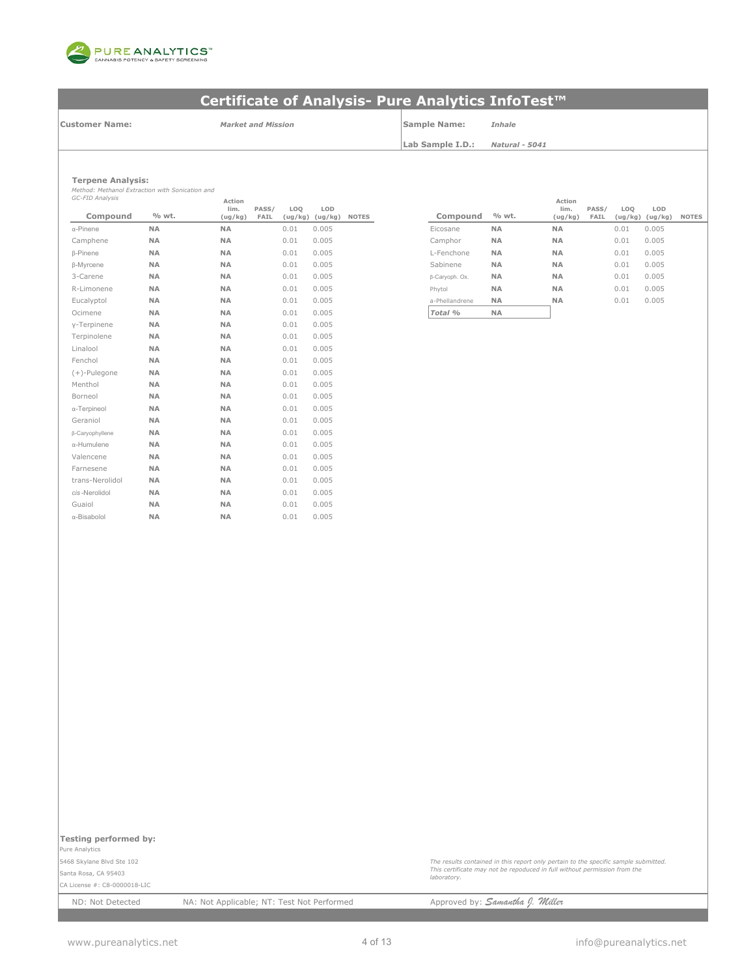

**Customer Name:**

*Market and Mission* **Sample Name:** *Inhale*

**Lab Sample I.D.:** *Natural - 5041*

| Ternene Analysis: |
|-------------------|

**Terpene Analysis:** *Method: Methanol Extraction with Sonication and GC-FID Analysis*

| GC-FID Analysis  |           | Action          |               |                |                |              |                |           |
|------------------|-----------|-----------------|---------------|----------------|----------------|--------------|----------------|-----------|
| Compound         | % wt.     | lim.<br>(ug/kg) | PASS/<br>FAIL | LOQ<br>(ug/kg) | LOD<br>(ug/kg) | <b>NOTES</b> | Compound       | % wt.     |
| $\alpha$ -Pinene | <b>NA</b> | <b>NA</b>       |               | 0.01           | 0.005          |              | Eicosane       | <b>NA</b> |
| Camphene         | <b>NA</b> | <b>NA</b>       |               | 0.01           | 0.005          |              | Camphor        | <b>NA</b> |
| <b>B-Pinene</b>  | <b>NA</b> | <b>NA</b>       |               | 0.01           | 0.005          |              | L-Fenchone     | <b>NA</b> |
| <b>B-Myrcene</b> | <b>NA</b> | <b>NA</b>       |               | 0.01           | 0.005          |              | Sabinene       | <b>NA</b> |
| 3-Carene         | <b>NA</b> | <b>NA</b>       |               | 0.01           | 0.005          |              | β-Caryoph. Ox. | <b>NA</b> |
| R-Limonene       | <b>NA</b> | <b>NA</b>       |               | 0.01           | 0.005          |              | Phytol         | <b>NA</b> |
| Eucalyptol       | <b>NA</b> | <b>NA</b>       |               | 0.01           | 0.005          |              | a-Phellandrene | <b>NA</b> |
| Ocimene          | <b>NA</b> | <b>NA</b>       |               | 0.01           | 0.005          |              | Total %        | <b>NA</b> |
| y-Terpinene      | <b>NA</b> | <b>NA</b>       |               | 0.01           | 0.005          |              |                |           |
| Terpinolene      | <b>NA</b> | <b>NA</b>       |               | 0.01           | 0.005          |              |                |           |
| Linalool         | <b>NA</b> | <b>NA</b>       |               | 0.01           | 0.005          |              |                |           |
| Fenchol          | <b>NA</b> | <b>NA</b>       |               | 0.01           | 0.005          |              |                |           |
| $(+)$ -Pulegone  | <b>NA</b> | <b>NA</b>       |               | 0.01           | 0.005          |              |                |           |
| Menthol          | <b>NA</b> | <b>NA</b>       |               | 0.01           | 0.005          |              |                |           |
| Borneol          | <b>NA</b> | <b>NA</b>       |               | 0.01           | 0.005          |              |                |           |
| α-Terpineol      | <b>NA</b> | <b>NA</b>       |               | 0.01           | 0.005          |              |                |           |
| Geraniol         | <b>NA</b> | <b>NA</b>       |               | 0.01           | 0.005          |              |                |           |
| β-Caryophyllene  | <b>NA</b> | <b>NA</b>       |               | 0.01           | 0.005          |              |                |           |
| α-Humulene       | <b>NA</b> | NA              |               | 0.01           | 0.005          |              |                |           |
| Valencene        | <b>NA</b> | <b>NA</b>       |               | 0.01           | 0.005          |              |                |           |
| Farnesene        | <b>NA</b> | NA              |               | 0.01           | 0.005          |              |                |           |
| trans-Nerolidol  | <b>NA</b> | <b>NA</b>       |               | 0.01           | 0.005          |              |                |           |
| cis-Nerolidol    | <b>NA</b> | <b>NA</b>       |               | 0.01           | 0.005          |              |                |           |
| Guaiol           | NA        | <b>NA</b>       |               | 0.01           | 0.005          |              |                |           |
| α-Bisabolol      | <b>NA</b> | <b>NA</b>       |               | 0.01           | 0.005          |              |                |           |

| Action          |               |                |                |              |                |           | Action          |               |                            |                |       |
|-----------------|---------------|----------------|----------------|--------------|----------------|-----------|-----------------|---------------|----------------------------|----------------|-------|
| lim.<br>(ug/kg) | PASS/<br>FAIL | LOQ<br>(ug/kg) | LOD<br>(ug/kg) | <b>NOTES</b> | Compound       | % wt.     | lim.<br>(ug/kg) | PASS/<br>FAIL | LO <sub>0</sub><br>(ug/kg) | LOD<br>(ug/kg) | NOTES |
| <b>NA</b>       |               | 0.01           | 0.005          |              | Eicosane       | <b>NA</b> | <b>NA</b>       |               | 0.01                       | 0.005          |       |
| <b>NA</b>       |               | 0.01           | 0.005          |              | Camphor        | <b>NA</b> | <b>NA</b>       |               | 0.01                       | 0.005          |       |
| <b>NA</b>       |               | 0.01           | 0.005          |              | L-Fenchone     | <b>NA</b> | <b>NA</b>       |               | 0.01                       | 0.005          |       |
| <b>NA</b>       |               | 0.01           | 0.005          |              | Sabinene       | <b>NA</b> | <b>NA</b>       |               | 0.01                       | 0.005          |       |
| <b>NA</b>       |               | 0.01           | 0.005          |              | β-Caryoph. Ox. | <b>NA</b> | <b>NA</b>       |               | 0.01                       | 0.005          |       |
| <b>NA</b>       |               | 0.01           | 0.005          |              | Phytol         | <b>NA</b> | <b>NA</b>       |               | 0.01                       | 0.005          |       |
| <b>NA</b>       |               | 0.01           | 0.005          |              | a-Phellandrene | <b>NA</b> | <b>NA</b>       |               | 0.01                       | 0.005          |       |
| <b>NA</b>       |               | 0.01           | 0.005          |              | Total %        | <b>NA</b> |                 |               |                            |                |       |

**Testing performed by:** 

Pure Analytics

5468 Skylane Blvd Ste 102 Santa Rosa, CA 95403

CA License #: C8-0000018-LIC

ND: Not Detected NA: Not Applicable; NT: Test Not Performed Approved by: **Samantha J. Willer** 

*laboratory.*

*The results contained in this report only pertain to the specific sample submitted. This certificate may not be repoduced in full without permission from the*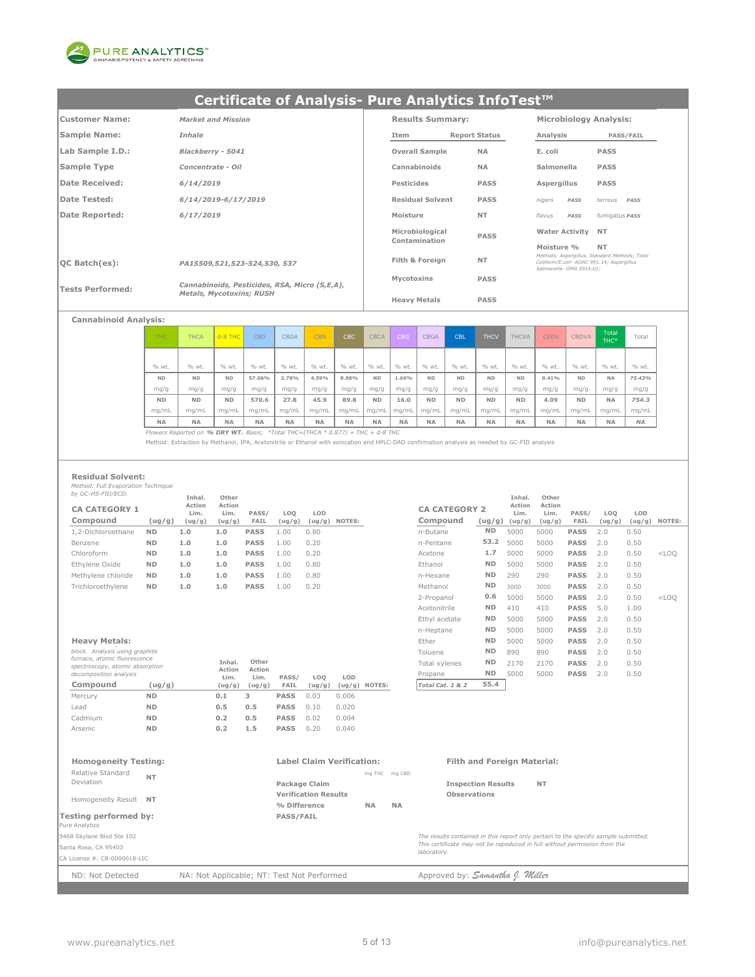

| Customer Name:          | <b>Market and Mission</b>                     |            | <b>Results Summary:</b> |                      |                          |      | <b>Microbiology Analysis:</b>                                                              |
|-------------------------|-----------------------------------------------|------------|-------------------------|----------------------|--------------------------|------|--------------------------------------------------------------------------------------------|
| Sample Name:            | Inhale                                        | Item       |                         | <b>Report Status</b> | Analysis                 |      | <b>PASS/FAIL</b>                                                                           |
| Lab Sample I.D.:        | Blackberry - 5041                             |            | <b>Overall Sample</b>   | <b>NA</b>            | E. coli                  |      | <b>PASS</b>                                                                                |
| Sample Type             | Concentrate - Oil                             |            | Cannabinoids            | <b>NA</b>            | Salmonella               |      | <b>PASS</b>                                                                                |
| Date Received:          | 6/14/2019                                     | Pesticides |                         | <b>PASS</b>          | Aspergillus              |      | <b>PASS</b>                                                                                |
| Date Tested:            | 6/14/2019-6/17/2019                           |            | <b>Residual Solvent</b> | <b>PASS</b>          | nigers                   | PASS | terreus<br>PASS                                                                            |
| Date Reported:          | 6/17/2019                                     | Moisture   |                         | <b>NT</b>            | flavus                   | PASS | fumigatus <b>PASS</b>                                                                      |
|                         |                                               |            | Microbiological         | <b>PASS</b>          | <b>Water Activity</b>    |      | <b>NT</b>                                                                                  |
|                         |                                               |            | Contamination           |                      | Moisture %               |      | <b>NT</b>                                                                                  |
| $ OC$ Batch $(es)$ :    | PA15509,521,523-524,530, 537                  |            | Filth & Foreign         | <b>NT</b>            | Salmonella- OMA 2014.01: |      | Methods: Asperaillus, Standard Methods: Total<br>Coliform/E.coli- AOAC 991.14; Aspergillus |
| <b>Tests Performed:</b> | Cannabinoids, Pesticides, RSA, Micro (S,E,A), |            | Mycotoxins              | <b>PASS</b>          |                          |      |                                                                                            |
|                         | <b>Metals, Mycotoxins; RUSH</b>               |            | <b>Heavy Metals</b>     | <b>PASS</b>          |                          |      |                                                                                            |

| <b>Cannabinoid Analysis:</b> |  |  |
|------------------------------|--|--|
|                              |  |  |

| <b>THC</b> | THCA      | $d - 8$ THC | <b>CBD</b> | CBDA      | <b>CBN</b> | CBC       | <b>CBCA</b> | CBG       | <b>CBGA</b> | CBL       | <b>THCV</b> | <b>THCVA</b> | <b>CBDV</b> | <b>CBDVA</b> | Total<br>THC* | Total     |
|------------|-----------|-------------|------------|-----------|------------|-----------|-------------|-----------|-------------|-----------|-------------|--------------|-------------|--------------|---------------|-----------|
|            |           |             |            |           |            |           |             |           |             |           |             |              |             |              |               |           |
| % wt.      | % wt.     | % wt.       | % wt.      | % wt.     | % wt.      | % wt.     | % wt.       | % wt.     | % wt.       | % wt.     | % wt.       | % wt.        | % wt.       | % wt.        | % wt.         | % wt.     |
| <b>ND</b>  | <b>ND</b> | <b>ND</b>   | 57.06%     | 2.78%     | 4.59%      | 8.98%     | <b>ND</b>   | 1.60%     | <b>ND</b>   | <b>ND</b> | <b>ND</b>   | <b>ND</b>    | 0.41%       | <b>ND</b>    | <b>NA</b>     | 75.43%    |
| mg/g       | mg/g      | mg/g        | mg/g       | mg/g      | mg/g       | mg/g      | mg/g        | mg/g      | mg/g        | mg/g      | mg/g        | mq/q         | mq/q        | mq/q         | mg/g          | mg/g      |
| <b>ND</b>  | <b>ND</b> | <b>ND</b>   | 570.6      | 27.8      | 45.9       | 89.8      | <b>ND</b>   | 16.0      | <b>ND</b>   | <b>ND</b> | <b>ND</b>   | <b>ND</b>    | 4.09        | <b>ND</b>    | <b>NA</b>     | 754.3     |
| mg/mL      | ma/mL     | mg/mL       | mg/mL      | mq/ml     | mg/mL      | mg/mL     | mg/mL       | mq/mL     | mg/mL       | ma/mL     | mg/mL       | mg/mL        | mg/mL       | mg/mL        | ma/mL         | mg/mL     |
| <b>NA</b>  | <b>NA</b> | <b>NA</b>   | <b>NA</b>  | <b>NA</b> | <b>NA</b>  | <b>NA</b> | <b>NA</b>   | <b>NA</b> | <b>NA</b>   | <b>NA</b> | <b>NA</b>   | <b>NA</b>    | <b>NA</b>   | <b>NA</b>    | <b>NA</b>     | <b>NA</b> |

*Flowers Reported on % DRY WT. Basis; \*Total THC=(THCA \* 0.877) + THC + d-8 THC*

Method: Extraction by Methanol, IPA, Acetonitrile or Ethanol with sonication and HPLC-DAD confirmation analysis as needed by GC-FID analysis

### **Residual Solvent:**

*Method: Full Evaporation Technique by GC-HS-FID/ECD.*

| <i>Dy GC-HS-FID/ECD.</i>         |           | Inhal.                   | Other                    |               |               |               |        |                                  |                | Inhal.                              | Other                    |               |               |      |                 |
|----------------------------------|-----------|--------------------------|--------------------------|---------------|---------------|---------------|--------|----------------------------------|----------------|-------------------------------------|--------------------------|---------------|---------------|------|-----------------|
| <b>CA CATEGORY 1</b><br>Compound | (ug/g)    | Action<br>Lim.<br>(ug/g) | Action<br>Lim.<br>(ug/g) | PASS/<br>FAIL | LOO<br>(ug/g) | LOD<br>(ug/g) | NOTES: | <b>CA CATEGORY 2</b><br>Compound |                | Action<br>Lim.<br>$(ug/g)$ $(ug/g)$ | Action<br>Lim.<br>(ug/g) | PASS/<br>FAIL | LOO<br>(ug/g) | LOD  | $(ug/g)$ NOTES: |
| 1,2-Dichloroethane               | <b>ND</b> | 1.0                      | 1.0                      | <b>PASS</b>   | 1.00          | 0.80          |        | n-Butane                         | <b>ND</b>      | 5000                                | 5000                     | <b>PASS</b>   | 2.0           | 0.50 |                 |
| Benzene                          | <b>ND</b> | 1.0                      | 1.0                      | <b>PASS</b>   | 00.ء          | 0.20          |        | n-Pentane                        | 53.2           | 5000                                | 5000                     | <b>PASS</b>   | 2.0           | 0.50 |                 |
| Chloroform                       | <b>ND</b> | 1.0                      | 1.0                      | <b>PASS</b>   | L.OO          | 0.20          |        | Acetone                          | 1.7            | 5000                                | 5000                     | <b>PASS</b>   | 2.0           | 0.50 | $<$ LOO         |
| Ethylene Oxide                   | <b>ND</b> | 1.0                      | 1.0                      | <b>PASS</b>   | 1.00          | 0.80          |        | Ethanol                          | <b>ND</b>      | 5000                                | 5000                     | <b>PASS</b>   | 2.0           | 0.50 |                 |
| Methylene chloride               | <b>ND</b> | 1.0                      | 1.0                      | <b>PASS</b>   | 1.00          | 0.80          |        | n-Hexane                         | ND.            | 290                                 | 290                      | <b>PASS</b>   | 2.0           | 0.50 |                 |
| Trichloroethylene                | <b>ND</b> | 1.0                      | 1.0                      | <b>PASS</b>   | 1.00          | 0.20          |        | Methanol                         | N <sub>D</sub> | 3000                                | 3000                     | <b>PASS</b>   | 2.0           | 0.50 |                 |
|                                  |           |                          |                          |               |               |               |        |                                  |                |                                     |                          |               |               |      |                 |

| block. Analysis using graphite<br>furnace, atomic fluorescence<br>spectroscopy, atomic absorption<br>decomposition analysis |           | Inhal.<br>Action<br>Lim. | Other<br>Action<br>Lim. | PASS/       | LOO    | LOD    |               |
|-----------------------------------------------------------------------------------------------------------------------------|-----------|--------------------------|-------------------------|-------------|--------|--------|---------------|
| Compound                                                                                                                    | (ug/g)    | (ug/g)                   | (ug/g)                  | FAIL        | (ug/g) | (ug/g) | <b>NOTES:</b> |
| Mercury                                                                                                                     | <b>ND</b> | 0.1                      | з                       | <b>PASS</b> | 0.03   | 0.006  |               |
| Lead                                                                                                                        | <b>ND</b> | 0.5                      | 0.5                     | <b>PASS</b> | 0.10   | 0.020  |               |
| Cadmium                                                                                                                     | <b>ND</b> | 0.2                      | 0.5                     | <b>PASS</b> | 0.02   | 0.004  |               |
| Arsenic                                                                                                                     | <b>ND</b> | 0.2                      | 1.5                     | <b>PASS</b> | 0.20   | 0.040  |               |

| by GC-HS-FID/ECD.                                               |           | Inhal.         | Other          |                |        |        |                  |                      |           | Inhal.         | Other          |             |        |        |         |
|-----------------------------------------------------------------|-----------|----------------|----------------|----------------|--------|--------|------------------|----------------------|-----------|----------------|----------------|-------------|--------|--------|---------|
| <b>CA CATEGORY 1</b>                                            |           | Action<br>Lim. | Action<br>Lim. | PASS/          | LOQ    | LOD    |                  | <b>CA CATEGORY 2</b> |           | Action<br>Lim. | Action<br>Lim. | PASS/       | LOQ    | LOD    |         |
| Compound                                                        | (ug/g)    | (ug/g)         | (ug/g)         | FAIL           | (ug/g) | (ug/g) | NOTES:           | Compound             | (ug/g)    | (ug/g)         | (ug/g)         | FAIL        | (ug/g) | (ug/g) | NOTES:  |
| 1.2-Dichloroethane                                              | <b>ND</b> | 1.0            | 1.0            | <b>PASS</b>    | 1.00   | 0.80   |                  | n-Butane             | <b>ND</b> | 5000           | 5000           | <b>PASS</b> | 2.0    | 0.50   |         |
| Benzene                                                         | <b>ND</b> | 1.0            | 1.0            | <b>PASS</b>    | 1.00   | 0.20   |                  | n-Pentane            | 53.2      | 5000           | 5000           | <b>PASS</b> | 2.0    | 0.50   |         |
| Chloroform                                                      | <b>ND</b> | 1.0            | 1.0            | <b>PASS</b>    | 1.00   | 0.20   |                  | Acetone              | 1.7       | 5000           | 5000           | <b>PASS</b> | 2.0    | 0.50   | $<$ LOQ |
| Ethylene Oxide                                                  | <b>ND</b> | 1.0            | 1.0            | PASS           | 1.00   | 0.80   |                  | Ethanol              | <b>ND</b> | 5000           | 5000           | <b>PASS</b> | 2.0    | 0.50   |         |
| Methylene chloride                                              | <b>ND</b> | 1.0            | 1.0            | <b>PASS</b>    | 1.00   | 0.80   |                  | n-Hexane             | <b>ND</b> | 290            | 290            | <b>PASS</b> | 2.0    | 0.50   |         |
| Trichloroethylene                                               | <b>ND</b> | 1.0            | 1.0            | <b>PASS</b>    | 1.00   | 0.20   |                  | Methanol             | <b>ND</b> | 3000           | 3000           | <b>PASS</b> | 2.0    | 0.50   |         |
|                                                                 |           |                |                |                |        |        |                  | 2-Propanol           | 0.6       | 5000           | 5000           | <b>PASS</b> | 2.0    | 0.50   | $<$ LOQ |
|                                                                 |           |                |                |                |        |        |                  | Acetonitrile         | <b>ND</b> | 410            | 410            | <b>PASS</b> | 5.0    | 1.00   |         |
|                                                                 |           |                |                |                |        |        |                  | Ethyl acetate        | <b>ND</b> | 5000           | 5000           | <b>PASS</b> | 2.0    | 0.50   |         |
|                                                                 |           |                |                |                |        |        |                  | n-Heptane            | <b>ND</b> | 5000           | 5000           | <b>PASS</b> | 2.0    | 0.50   |         |
| <b>Heavy Metals:</b>                                            |           |                |                |                |        |        |                  | Ether                | <b>ND</b> | 5000           | 5000           | <b>PASS</b> | 2.0    | 0.50   |         |
| block. Analysis using graphite                                  |           |                |                |                |        |        |                  | Toluene              | <b>ND</b> | 890            | 890            | <b>PASS</b> | 2.0    | 0.50   |         |
| furnace, atomic fluorescence<br>spectroscopy, atomic absorption |           |                | Inhal.         | Other          |        |        |                  | Total xylenes        | <b>ND</b> | 2170           | 2170           | <b>PASS</b> | 2.0    | 0.50   |         |
| decomposition analysis                                          |           |                | Action<br>Lim. | Action<br>Lim. | PASS/  | LOQ    | LOD              | Propane              | <b>ND</b> | 5000           | 5000           | <b>PASS</b> | 2.0    | 0.50   |         |
| Compound                                                        | (ug/g)    |                | (ug/g)         | (ug/g)         | FAIL   | (ug/g) | NOTES:<br>(ug/g) | Total Cat. 1 & 2     | 55.4      |                |                |             |        |        |         |
|                                                                 |           |                |                |                |        |        |                  |                      |           |                |                |             |        |        |         |

| <b>Homogeneity Testing:</b>             |                                            | <b>Label Claim Verification:</b>            |               |           | <b>Filth and Foreign Material:</b>                                                       |  |
|-----------------------------------------|--------------------------------------------|---------------------------------------------|---------------|-----------|------------------------------------------------------------------------------------------|--|
| Relative Standard<br>Deviation          | <b>NT</b>                                  | Package Claim                               | mg THC mg CBD |           | <b>Inspection Results</b><br><b>NT</b>                                                   |  |
| Homogeneity Result NT                   |                                            | <b>Verification Results</b><br>% Difference | <b>NA</b>     | <b>NA</b> | <b>Observations</b>                                                                      |  |
| Testing performed by:<br>Pure Analytics |                                            | <b>PASS/FAIL</b>                            |               |           |                                                                                          |  |
| 5468 Skylane Blvd Ste 102               |                                            |                                             |               |           | The results contained in this report only pertain to the specific sample submitted.      |  |
| Santa Rosa, CA 95403                    |                                            |                                             |               |           | This certificate may not be repoduced in full without permission from the<br>laboratory. |  |
| CA License #: C8-0000018-LIC            |                                            |                                             |               |           |                                                                                          |  |
| ND: Not Detected                        | NA: Not Applicable; NT: Test Not Performed |                                             |               |           | Approved by: Samantha J. Miller                                                          |  |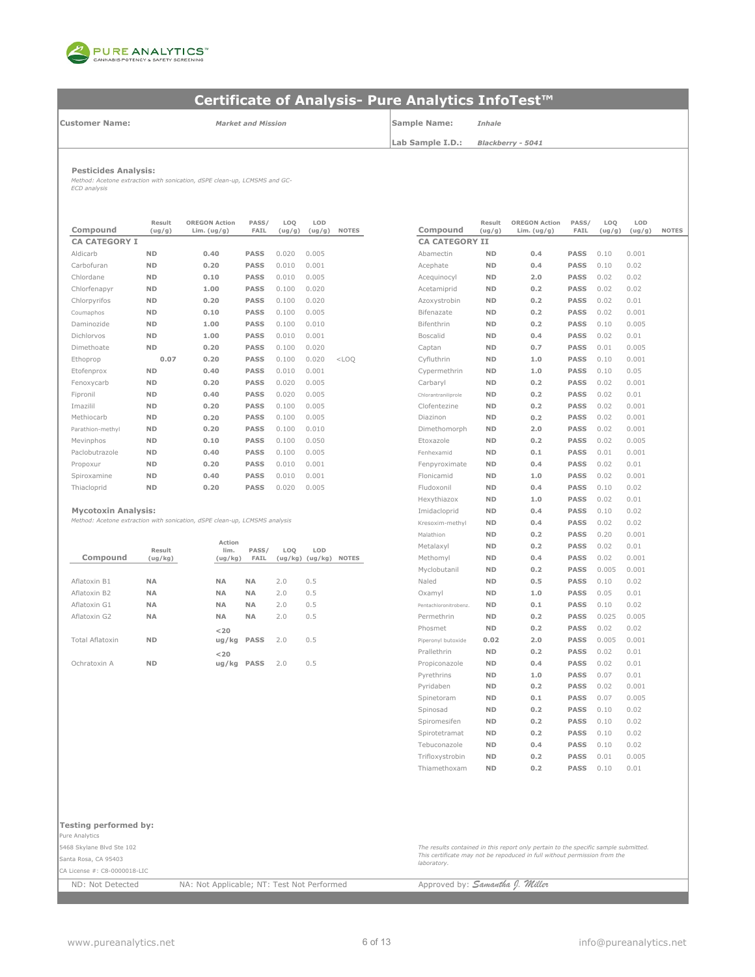

**Customer Name:**

*Market and Mission*

**Sample Name:** *Inhale*

**Lab Sample I.D.:** *Blackberry - 5041*

#### **Pesticides Analysis:**

*Method: Acetone extraction with sonication, dSPE clean-up, LCMSMS and GC-ECD analysis*

| Compound             | Result<br>(ug/g) | <b>OREGON Action</b><br>Lim. $(ug/g)$ | PASS/<br>FAIL | LOQ<br>(ug/g) | LOD<br>(ug/g) | <b>NOTES</b> | Compound              | Result<br>(ug/g) | <b>OREGON Action</b><br>Lim. $(ug/g)$ | PASS/<br>FAIL | LOO<br>(ug/g) | LOD<br>(ug/ |
|----------------------|------------------|---------------------------------------|---------------|---------------|---------------|--------------|-----------------------|------------------|---------------------------------------|---------------|---------------|-------------|
| <b>CA CATEGORY I</b> |                  |                                       |               |               |               |              | <b>CA CATEGORY II</b> |                  |                                       |               |               |             |
| Aldicarb             | <b>ND</b>        | 0.40                                  | <b>PASS</b>   | 0.020         | 0.005         |              | Abamectin             | <b>ND</b>        | 0.4                                   | <b>PASS</b>   | 0.10          | 0.001       |
| Carbofuran           | <b>ND</b>        | 0.20                                  | <b>PASS</b>   | 0.010         | 0.001         |              | Acephate              | <b>ND</b>        | 0.4                                   | <b>PASS</b>   | 0.10          | 0.02        |
| Chlordane            | <b>ND</b>        | 0.10                                  | <b>PASS</b>   | 0.010         | 0.005         |              | Acequinocyl           | <b>ND</b>        | 2.0                                   | <b>PASS</b>   | 0.02          | 0.02        |
| Chlorfenapyr         | <b>ND</b>        | 1.00                                  | <b>PASS</b>   | 0.100         | 0.020         |              | Acetamiprid           | <b>ND</b>        | 0.2                                   | <b>PASS</b>   | 0.02          | 0.02        |
| Chlorpyrifos         | <b>ND</b>        | 0.20                                  | <b>PASS</b>   | 0.100         | 0.020         |              | Azoxystrobin          | <b>ND</b>        | 0.2                                   | <b>PASS</b>   | 0.02          | 0.01        |
| Coumaphos            | <b>ND</b>        | 0.10                                  | <b>PASS</b>   | 0.100         | 0.005         |              | Bifenazate            | <b>ND</b>        | 0.2                                   | <b>PASS</b>   | 0.02          | 0.001       |
| Daminozide           | <b>ND</b>        | 1.00                                  | <b>PASS</b>   | 0.100         | 0.010         |              | Bifenthrin            | <b>ND</b>        | 0.2                                   | <b>PASS</b>   | 0.10          | 0.005       |
| Dichlorvos           | <b>ND</b>        | 1.00                                  | <b>PASS</b>   | 0.010         | 0.001         |              | <b>Boscalid</b>       | <b>ND</b>        | 0.4                                   | <b>PASS</b>   | 0.02          | 0.01        |
| Dimethoate           | <b>ND</b>        | 0.20                                  | <b>PASS</b>   | 0.100         | 0.020         |              | Captan                | <b>ND</b>        | 0.7                                   | <b>PASS</b>   | 0.01          | 0.005       |
| Ethoprop             | 0.07             | 0.20                                  | <b>PASS</b>   | 0.100         | 0.020         | $<$ LOO      | Cyfluthrin            | <b>ND</b>        | 1.0                                   | <b>PASS</b>   | 0.10          | 0.001       |
| Etofenprox           | <b>ND</b>        | 0.40                                  | <b>PASS</b>   | 0.010         | 0.001         |              | Cypermethrin          | <b>ND</b>        | 1.0                                   | <b>PASS</b>   | 0.10          | 0.05        |
| Fenoxvcarb           | <b>ND</b>        | 0.20                                  | <b>PASS</b>   | 0.020         | 0.005         |              | Carbaryl              | <b>ND</b>        | 0.2                                   | <b>PASS</b>   | 0.02          | 0.001       |
| Fipronil             | <b>ND</b>        | 0.40                                  | <b>PASS</b>   | 0.020         | 0.005         |              | Chlorantraniliprole   | <b>ND</b>        | 0.2                                   | <b>PASS</b>   | 0.02          | 0.01        |
| Imazilil             | <b>ND</b>        | 0.20                                  | <b>PASS</b>   | 0.100         | 0.005         |              | Clofentezine          | <b>ND</b>        | 0.2                                   | <b>PASS</b>   | 0.02          | 0.001       |
| Methiocarb           | <b>ND</b>        | 0.20                                  | <b>PASS</b>   | 0.100         | 0.005         |              | Diazinon              | <b>ND</b>        | 0.2                                   | <b>PASS</b>   | 0.02          | 0.001       |
| Parathion-methyl     | <b>ND</b>        | 0.20                                  | <b>PASS</b>   | 0.100         | 0.010         |              | Dimethomorph          | <b>ND</b>        | 2.0                                   | <b>PASS</b>   | 0.02          | 0.001       |
| Mevinphos            | <b>ND</b>        | 0.10                                  | <b>PASS</b>   | 0.100         | 0.050         |              | Etoxazole             | <b>ND</b>        | 0.2                                   | <b>PASS</b>   | 0.02          | 0.005       |
| Paclobutrazole       | <b>ND</b>        | 0.40                                  | <b>PASS</b>   | 0.100         | 0.005         |              | Fenhexamid            | <b>ND</b>        | 0.1                                   | <b>PASS</b>   | 0.01          | 0.001       |
| Propoxur             | <b>ND</b>        | 0.20                                  | <b>PASS</b>   | 0.010         | 0.001         |              | Fenpyroximate         | <b>ND</b>        | 0.4                                   | <b>PASS</b>   | 0.02          | 0.01        |
| Spiroxamine          | <b>ND</b>        | 0.40                                  | <b>PASS</b>   | 0.010         | 0.001         |              | Flonicamid            | <b>ND</b>        | 1.0                                   | <b>PASS</b>   | 0.02          | 0.001       |
| Thiacloprid          | <b>ND</b>        | 0.20                                  | <b>PASS</b>   | 0.020         | 0.005         |              | Fludoxonil            | <b>ND</b>        | 0.4                                   | <b>PASS</b>   | 0.10          | 0.02        |
|                      |                  |                                       |               |               |               |              |                       |                  |                                       |               |               |             |

#### **Mycotoxin Analysis:**

*Method: Acetone extraction with sonication, dSPE clean-up, LCMSMS analysis*

|                 | Result         | Action<br>lim. | PASS/       | LOQ | LOD                 |              | Metalaxyl             | <b>ND</b>      | 0.2            | <b>PASS</b> | 0.02  | 0.01  |
|-----------------|----------------|----------------|-------------|-----|---------------------|--------------|-----------------------|----------------|----------------|-------------|-------|-------|
| Compound        | (ug/kg)        | (ug/kg)        | <b>FAIL</b> |     | $(ug/kg)$ $(ug/kg)$ | <b>NOTES</b> | Methomyl              | <b>ND</b>      | 0.4            | <b>PASS</b> | 0.02  | 0.001 |
|                 |                |                |             |     |                     |              | Myclobutanil          | <b>ND</b>      | 0.2            | <b>PASS</b> | 0.005 | 0.001 |
| Aflatoxin B1    | <b>NA</b>      | <b>NA</b>      | <b>NA</b>   | 2.0 | 0.5                 |              | Naled                 | <b>ND</b>      | 0.5            | <b>PASS</b> | 0.10  | 0.02  |
| Aflatoxin B2    | <b>NA</b>      | <b>NA</b>      | <b>NA</b>   | 2.0 | 0.5                 |              | Oxamyl                | <b>ND</b>      | 1.0            | <b>PASS</b> | 0.05  | 0.01  |
| Aflatoxin G1    | <b>NA</b>      | <b>NA</b>      | <b>NA</b>   | 2.0 | 0.5                 |              | Pentachloronitrobenz. | <b>ND</b>      | 0.1            | <b>PASS</b> | 0.10  | 0.02  |
| Aflatoxin G2    | <b>NA</b>      | <b>NA</b>      | <b>NA</b>   | 2.0 | 0.5                 |              | Permethrin            | <b>ND</b>      | 0.2            | <b>PASS</b> | 0.025 | 0.005 |
|                 |                | $<$ 20         |             |     |                     |              | Phosmet               | <b>ND</b>      | 0.2            | <b>PASS</b> | 0.02  | 0.02  |
| Total Aflatoxin | N <sub>D</sub> | ug/kg PASS     |             | 2.0 | 0.5                 |              | Piperonyl butoxide    | 0.02           | 2.0            | <b>PASS</b> | 0.005 | 0.001 |
|                 |                | $<$ 20         |             |     |                     |              | Prallethrin           | <b>ND</b>      | 0.2            | <b>PASS</b> | 0.02  | 0.01  |
| Ochratoxin A    | <b>ND</b>      | ug/kg          | <b>PASS</b> | 2.0 | 0.5                 |              | Propiconazole         | <b>ND</b>      | 0.4            | <b>PASS</b> | 0.02  | 0.01  |
|                 |                |                |             |     |                     |              | Pyrethring            | N <sub>D</sub> | 1 <sub>0</sub> | <b>PASS</b> | 0.07  | 0.01  |

| Result<br>(ug/g) | <b>OREGON Action</b><br>Lim. $(ug/g)$             | PASS/<br>FAIL | LOQ<br>(ug/g) | LOD<br>(ug/g)       | <b>NOTES</b> | Compound              | Result<br>(ug/g) | <b>OREGON Action</b><br>Lim. $(ug/g)$ | PASS/<br>FAIL | LOQ<br>(ug/g) | LOD<br>(ug/g) | <b>NOTES</b> |
|------------------|---------------------------------------------------|---------------|---------------|---------------------|--------------|-----------------------|------------------|---------------------------------------|---------------|---------------|---------------|--------------|
|                  |                                                   |               |               |                     |              | <b>CA CATEGORY II</b> |                  |                                       |               |               |               |              |
| ND               | 0.40                                              | <b>PASS</b>   | 0.020         | 0.005               |              | Abamectin             | <b>ND</b>        | 0.4                                   | <b>PASS</b>   | 0.10          | 0.001         |              |
| ND               | 0.20                                              | <b>PASS</b>   | 0.010         | 0.001               |              | Acephate              | <b>ND</b>        | 0.4                                   | <b>PASS</b>   | 0.10          | 0.02          |              |
| ND               | 0.10                                              | <b>PASS</b>   | 0.010         | 0.005               |              | Acequinocyl           | <b>ND</b>        | 2.0                                   | <b>PASS</b>   | 0.02          | 0.02          |              |
| ND               | 1.00                                              | <b>PASS</b>   | 0.100         | 0.020               |              | Acetamiprid           | <b>ND</b>        | 0.2                                   | <b>PASS</b>   | 0.02          | 0.02          |              |
| ND               | 0.20                                              | <b>PASS</b>   | 0.100         | 0.020               |              | Azoxystrobin          | <b>ND</b>        | 0.2                                   | <b>PASS</b>   | 0.02          | 0.01          |              |
| ND               | 0.10                                              | <b>PASS</b>   | 0.100         | 0.005               |              | Bifenazate            | <b>ND</b>        | 0.2                                   | <b>PASS</b>   | 0.02          | 0.001         |              |
| ND               | 1.00                                              | <b>PASS</b>   | 0.100         | 0.010               |              | Bifenthrin            | <b>ND</b>        | 0.2                                   | <b>PASS</b>   | 0.10          | 0.005         |              |
| ND               | 1.00                                              | <b>PASS</b>   | 0.010         | 0.001               |              | <b>Boscalid</b>       | <b>ND</b>        | 0.4                                   | <b>PASS</b>   | 0.02          | 0.01          |              |
| <b>ND</b>        | 0.20                                              | <b>PASS</b>   | 0.100         | 0.020               |              | Captan                | <b>ND</b>        | 0.7                                   | <b>PASS</b>   | 0.01          | 0.005         |              |
| 0.07             | 0.20                                              | <b>PASS</b>   | 0.100         | 0.020               | $<$ LOQ      | Cyfluthrin            | <b>ND</b>        | 1.0                                   | <b>PASS</b>   | 0.10          | 0.001         |              |
| ND               | 0.40                                              | <b>PASS</b>   | 0.010         | 0.001               |              | Cypermethrin          | <b>ND</b>        | 1.0                                   | <b>PASS</b>   | 0.10          | 0.05          |              |
| ND               | 0.20                                              | <b>PASS</b>   | 0.020         | 0.005               |              | Carbaryl              | <b>ND</b>        | 0.2                                   | <b>PASS</b>   | 0.02          | 0.001         |              |
| ND               | 0.40                                              | <b>PASS</b>   | 0.020         | 0.005               |              | Chlorantraniliprole   | <b>ND</b>        | 0.2                                   | <b>PASS</b>   | 0.02          | 0.01          |              |
| ND               | 0.20                                              | <b>PASS</b>   | 0.100         | 0.005               |              | Clofentezine          | <b>ND</b>        | 0.2                                   | <b>PASS</b>   | 0.02          | 0.001         |              |
| ND               | 0.20                                              | <b>PASS</b>   | 0.100         | 0.005               |              | Diazinon              | <b>ND</b>        | 0.2                                   | <b>PASS</b>   | 0.02          | 0.001         |              |
| ND               | 0.20                                              | <b>PASS</b>   | 0.100         | 0.010               |              | Dimethomorph          | <b>ND</b>        | 2.0                                   | <b>PASS</b>   | 0.02          | 0.001         |              |
| ND               | 0.10                                              | <b>PASS</b>   | 0.100         | 0.050               |              | Etoxazole             | <b>ND</b>        | 0.2                                   | <b>PASS</b>   | 0.02          | 0.005         |              |
| <b>ND</b>        | 0.40                                              | <b>PASS</b>   | 0.100         | 0.005               |              | Fenhexamid            | <b>ND</b>        | 0.1                                   | <b>PASS</b>   | 0.01          | 0.001         |              |
| ND               | 0.20                                              | <b>PASS</b>   | 0.010         | 0.001               |              | Fenpyroximate         | <b>ND</b>        | 0.4                                   | <b>PASS</b>   | 0.02          | 0.01          |              |
| ND               | 0.40                                              | <b>PASS</b>   | 0.010         | 0.001               |              | Flonicamid            | <b>ND</b>        | 1.0                                   | <b>PASS</b>   | 0.02          | 0.001         |              |
| ND               | 0.20                                              | <b>PASS</b>   | 0.020         | 0.005               |              | Fludoxonil            | <b>ND</b>        | 0.4                                   | <b>PASS</b>   | 0.10          | 0.02          |              |
|                  |                                                   |               |               |                     |              | Hexythiazox           | <b>ND</b>        | 1.0                                   | <b>PASS</b>   | 0.02          | 0.01          |              |
| is:              |                                                   |               |               |                     |              | Imidacloprid          | <b>ND</b>        | 0.4                                   | <b>PASS</b>   | 0.10          | 0.02          |              |
|                  | n with sonication, dSPE clean-up, LCMSMS analysis |               |               |                     |              | Kresoxim-methyl       | <b>ND</b>        | 0.4                                   | <b>PASS</b>   | 0.02          | 0.02          |              |
|                  |                                                   |               |               |                     |              | Malathion             | <b>ND</b>        | 0.2                                   | <b>PASS</b>   | 0.20          | 0.001         |              |
| Result           | Action<br>lim.                                    | PASS/         | LOO           | LOD                 |              | Metalaxyl             | <b>ND</b>        | 0.2                                   | <b>PASS</b>   | 0.02          | 0.01          |              |
| (ug/kg)          | (ug/kg)                                           | FAIL          |               | $(ug/kg)$ $(ug/kg)$ | <b>NOTES</b> | Methomyl              | <b>ND</b>        | 0.4                                   | <b>PASS</b>   | 0.02          | 0.001         |              |
|                  |                                                   |               |               |                     |              | Myclobutanil          | <b>ND</b>        | 0.2                                   | <b>PASS</b>   | 0.005         | 0.001         |              |
| ΝA               | NA                                                | <b>NA</b>     | 2.0           | 0.5                 |              | Naled                 | <b>ND</b>        | 0.5                                   | <b>PASS</b>   | 0.10          | 0.02          |              |
| <b>NA</b>        | <b>NA</b>                                         | <b>NA</b>     | 2.0           | 0.5                 |              | Oxamyl                | <b>ND</b>        | 1.0                                   | <b>PASS</b>   | 0.05          | 0.01          |              |
| ΝA               | <b>NA</b>                                         | <b>NA</b>     | 2.0           | 0.5                 |              | Pentachloronitrobenz. | <b>ND</b>        | 0.1                                   | <b>PASS</b>   | 0.10          | 0.02          |              |
| ΝA               | NA                                                | <b>NA</b>     | 2.0           | 0.5                 |              | Permethrin            | <b>ND</b>        | 0.2                                   | <b>PASS</b>   | 0.025         | 0.005         |              |
|                  | < 20                                              |               |               |                     |              | Phosmet               | <b>ND</b>        | 0.2                                   | <b>PASS</b>   | 0.02          | 0.02          |              |
| <b>ND</b>        | ug/kg                                             | <b>PASS</b>   | 2.0           | 0.5                 |              | Piperonyl butoxide    | 0.02             | 2.0                                   | <b>PASS</b>   | 0.005         | 0.001         |              |
|                  | < 20                                              |               |               |                     |              | Prallethrin           | <b>ND</b>        | 0.2                                   | <b>PASS</b>   | 0.02          | 0.01          |              |
| ND               | ug/kg                                             | PASS          | 2.0           | 0.5                 |              | Propiconazole         | <b>ND</b>        | 0.4                                   | <b>PASS</b>   | 0.02          | 0.01          |              |
|                  |                                                   |               |               |                     |              | Pyrethrins            | <b>ND</b>        | 1.0                                   | <b>PASS</b>   | 0.07          | 0.01          |              |
|                  |                                                   |               |               |                     |              | Pyridaben             | <b>ND</b>        | 0.2                                   | <b>PASS</b>   | 0.02          | 0.001         |              |
|                  |                                                   |               |               |                     |              | Spinetoram            | <b>ND</b>        | 0.1                                   | <b>PASS</b>   | 0.07          | 0.005         |              |
|                  |                                                   |               |               |                     |              | Spinosad              | <b>ND</b>        | 0.2                                   | <b>PASS</b>   | 0.10          | 0.02          |              |
|                  |                                                   |               |               |                     |              | Spiromesifen          | <b>ND</b>        | 0.2                                   | <b>PASS</b>   | 0.10          | 0.02          |              |
|                  |                                                   |               |               |                     |              | Spirotetramat         | <b>ND</b>        | 0.2                                   | <b>PASS</b>   | 0.10          | 0.02          |              |
|                  |                                                   |               |               |                     |              | Tebuconazole          | <b>ND</b>        | 0.4                                   | <b>PASS</b>   | 0.10          | 0.02          |              |
|                  |                                                   |               |               |                     |              | Trifloxystrobin       | <b>ND</b>        | 0.2                                   | <b>PASS</b>   | 0.01          | 0.005         |              |
|                  |                                                   |               |               |                     |              | Thiamethoxam          | <b>ND</b>        | 0.2                                   | <b>PASS</b>   | 0.10          | 0.01          |              |

| Testing performed by: |  |
|-----------------------|--|
|                       |  |

Pure Analytics

5468 Skylane Blvd Ste 102 Santa Rosa, CA 95403

CA License #: C8-0000018-LIC

*The results contained in this report only pertain to the specific sample submitted. This certificate may not be repoduced in full without permission from the laboratory.*

ND: Not Detected NA: Not Applicable; NT: Test Not Performed Approved by: **Samantha J. Willer**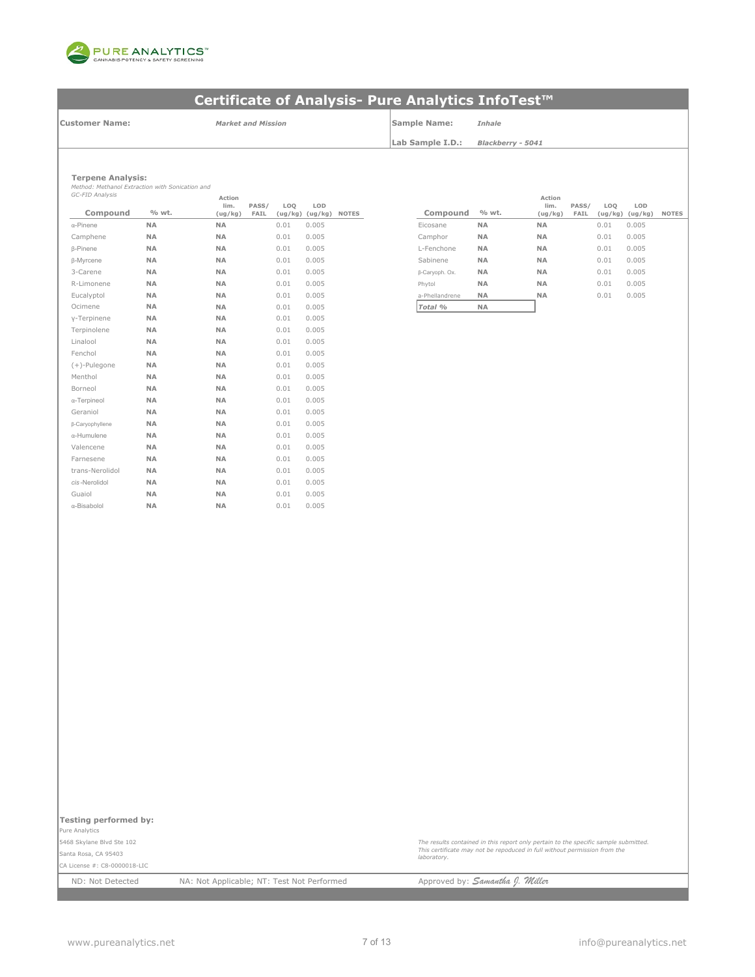

**Customer Name:**

*Market and Mission* **Sample Name:** *Inhale*

**Lab Sample I.D.:** *Blackberry - 5041*

### **Terpene Analysis:**

*Method: Methanol Extraction with Sonication and GC-FID Analysis*

| GC-FID Analysis     |           | Action          |               |      |                        |              |                |           |
|---------------------|-----------|-----------------|---------------|------|------------------------|--------------|----------------|-----------|
| Compound            | % wt.     | lim.<br>(ug/kg) | PASS/<br>FAIL | LOQ  | LOD<br>(ug/kg) (ug/kg) | <b>NOTES</b> | Compound       | % wt.     |
| $\alpha$ -Pinene    | <b>NA</b> | <b>NA</b>       |               | 0.01 | 0.005                  |              | Eicosane       | <b>NA</b> |
| Camphene            | <b>NA</b> | <b>NA</b>       |               | 0.01 | 0.005                  |              | Camphor        | <b>NA</b> |
| <b>ß-Pinene</b>     | <b>NA</b> | <b>NA</b>       |               | 0.01 | 0.005                  |              | L-Fenchone     | <b>NA</b> |
| <b>B-Myrcene</b>    | <b>NA</b> | <b>NA</b>       |               | 0.01 | 0.005                  |              | Sabinene       | <b>NA</b> |
| 3-Carene            | NA        | NA              |               | 0.01 | 0.005                  |              | β-Caryoph. Ox. | NA        |
| R-Limonene          | <b>NA</b> | <b>NA</b>       |               | 0.01 | 0.005                  |              | Phytol         | NA        |
| Eucalyptol          | <b>NA</b> | <b>NA</b>       |               | 0.01 | 0.005                  |              | a-Phellandrene | <b>NA</b> |
| Ocimene             | <b>NA</b> | <b>NA</b>       |               | 0.01 | 0.005                  |              | Total %        | NA        |
| y-Terpinene         | <b>NA</b> | <b>NA</b>       |               | 0.01 | 0.005                  |              |                |           |
| Terpinolene         | <b>NA</b> | <b>NA</b>       |               | 0.01 | 0.005                  |              |                |           |
| Linalool            | <b>NA</b> | <b>NA</b>       |               | 0.01 | 0.005                  |              |                |           |
| Fenchol             | <b>NA</b> | <b>NA</b>       |               | 0.01 | 0.005                  |              |                |           |
| $(+)$ -Pulegone     | <b>NA</b> | <b>NA</b>       |               | 0.01 | 0.005                  |              |                |           |
| Menthol             | NA        | <b>NA</b>       |               | 0.01 | 0.005                  |              |                |           |
| Borneol             | <b>NA</b> | <b>NA</b>       |               | 0.01 | 0.005                  |              |                |           |
| $\alpha$ -Terpineol | <b>NA</b> | <b>NA</b>       |               | 0.01 | 0.005                  |              |                |           |
| Geraniol            | NA        | <b>NA</b>       |               | 0.01 | 0.005                  |              |                |           |
| β-Caryophyllene     | <b>NA</b> | <b>NA</b>       |               | 0.01 | 0.005                  |              |                |           |
| α-Humulene          | <b>NA</b> | <b>NA</b>       |               | 0.01 | 0.005                  |              |                |           |
| Valencene           | <b>NA</b> | <b>NA</b>       |               | 0.01 | 0.005                  |              |                |           |
| Farnesene           | NA        | NA              |               | 0.01 | 0.005                  |              |                |           |
| trans-Nerolidol     | <b>NA</b> | <b>NA</b>       |               | 0.01 | 0.005                  |              |                |           |
| cis-Nerolidol       | <b>NA</b> | <b>NA</b>       |               | 0.01 | 0.005                  |              |                |           |
| Guaiol              | NA        | <b>NA</b>       |               | 0.01 | 0.005                  |              |                |           |
| α-Bisabolol         | <b>NA</b> | <b>NA</b>       |               | 0.01 | 0.005                  |              |                |           |

| Action<br>lim.<br>(ug/kg) | PASS/<br>FAIL | LO <sub>O</sub> | LOD<br>(ug/kg) (ug/kg) | <b>NOTES</b> | Compound       | % wt.     | Action<br>lim.<br>(ug/kg) | PASS/<br>FAIL | LO <sub>O</sub><br>(ug/kg) | LOD<br>(ug/kg) | <b>NOTES</b> |
|---------------------------|---------------|-----------------|------------------------|--------------|----------------|-----------|---------------------------|---------------|----------------------------|----------------|--------------|
| NA                        |               | 0.01            | 0.005                  |              | Eicosane       | <b>NA</b> | <b>NA</b>                 |               | 0.01                       | 0.005          |              |
| NA                        |               | 0.01            | 0.005                  |              | Camphor        | <b>NA</b> | <b>NA</b>                 |               | 0.01                       | 0.005          |              |
| NA                        |               | 0.01            | 0.005                  |              | L-Fenchone     | <b>NA</b> | <b>NA</b>                 |               | 0.01                       | 0.005          |              |
| NA                        |               | 0.01            | 0.005                  |              | Sabinene       | <b>NA</b> | <b>NA</b>                 |               | 0.01                       | 0.005          |              |
| NA                        |               | 0.01            | 0.005                  |              | β-Caryoph. Ox. | <b>NA</b> | <b>NA</b>                 |               | 0.01                       | 0.005          |              |
| NA                        |               | 0.01            | 0.005                  |              | Phytol         | <b>NA</b> | <b>NA</b>                 |               | 0.01                       | 0.005          |              |
| NA                        |               | 0.01            | 0.005                  |              | a-Phellandrene | <b>NA</b> | <b>NA</b>                 |               | 0.01                       | 0.005          |              |
| NΑ                        |               | 0.01            | 0.005                  |              | Total %        | <b>NA</b> |                           |               |                            |                |              |

Pure Analytics 5468 Skylane Blvd Ste 102 Santa Rosa, CA 95403

CA License #: C8-0000018-LIC

*The results contained in this report only pertain to the specific sample submitted. This certificate may not be repoduced in full without permission from the laboratory.*

ND: Not Detected NA: Not Applicable; NT: Test Not Performed Approved by: **Samantha J. Willer**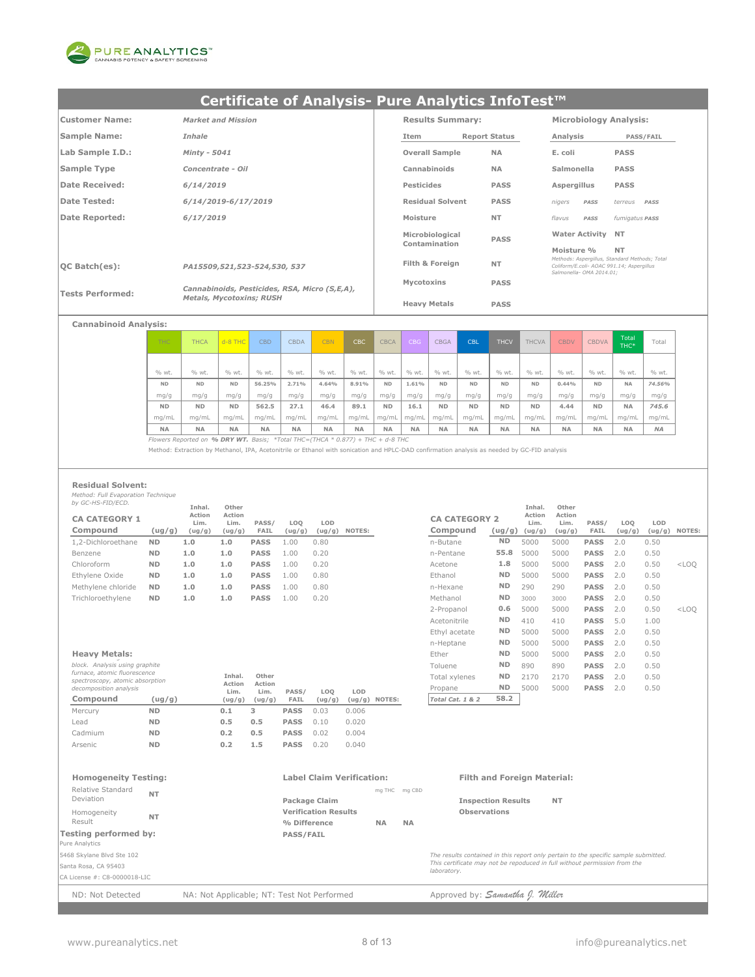

| <b>Customer Name:</b>   | <b>Market and Mission</b>                     | <b>Results Summary:</b> |                      | <b>Microbiology Analysis:</b>                                         |                                               |
|-------------------------|-----------------------------------------------|-------------------------|----------------------|-----------------------------------------------------------------------|-----------------------------------------------|
| <b>Sample Name:</b>     | Inhale                                        | Item                    | <b>Report Status</b> | Analysis                                                              | <b>PASS/FAIL</b>                              |
| Lab Sample I.D.:        | Minty - 5041                                  | <b>Overall Sample</b>   | <b>NA</b>            | E. coli                                                               | <b>PASS</b>                                   |
| Sample Type             | Concentrate - Oil                             | Cannabinoids            | <b>NA</b>            | Salmonella                                                            | <b>PASS</b>                                   |
| Date Received:          | 6/14/2019                                     | Pesticides              | <b>PASS</b>          | Aspergillus                                                           | <b>PASS</b>                                   |
| <b>Date Tested:</b>     | 6/14/2019-6/17/2019                           | <b>Residual Solvent</b> | <b>PASS</b>          | nigers<br>PASS                                                        | terreus<br>PASS                               |
| Date Reported:          | 6/17/2019                                     | Moisture                | <b>NT</b>            | flavus<br>PASS                                                        | fumigatus PASS                                |
|                         |                                               | Microbiological         | <b>PASS</b>          | <b>Water Activity NT</b>                                              |                                               |
|                         |                                               | Contamination           |                      | Moisture %                                                            | <b>NT</b>                                     |
| $ OC$ Batch $(es)$ :    | PA15509,521,523-524,530, 537                  | Filth & Foreign         | <b>NT</b>            | Coliform/E.coli- AOAC 991.14: Asperaillus<br>Salmonella- OMA 2014.01: | Methods: Asperaillus, Standard Methods: Total |
|                         | Cannabinoids, Pesticides, RSA, Micro (S,E,A), | Mycotoxins              | <b>PASS</b>          |                                                                       |                                               |
| <b>Tests Performed:</b> | <b>Metals, Mycotoxins; RUSH</b>               | <b>Heavy Metals</b>     | <b>PASS</b>          |                                                                       |                                               |

### **Cannabinoid Analysis:**

| THC.      | <b>THCA</b> | $d - 8$ THC | <b>CBD</b> | <b>CBDA</b> | <b>CBN</b> | CBC       | <b>CBCA</b> | CBG       | <b>CBGA</b> | <b>CBL</b> | <b>THCV</b> | <b>THCVA</b> | <b>CBDV</b> | <b>CBDVA</b> | Total<br>THC* | Total     |
|-----------|-------------|-------------|------------|-------------|------------|-----------|-------------|-----------|-------------|------------|-------------|--------------|-------------|--------------|---------------|-----------|
|           |             |             |            |             |            |           |             |           |             |            |             |              |             |              |               |           |
| % wt.     | % wt.       | % wt.       | % wt.      | % wt.       | % wt.      | % wt.     | % wt.       | % wt.     | % wt.       | % wt.      | % wt.       | % wt.        | % wt.       | % wt.        | % wt.         | % wt.     |
| <b>ND</b> | <b>ND</b>   | <b>ND</b>   | 56.25%     | 2.71%       | 4.64%      | 8.91%     | <b>ND</b>   | 1.61%     | <b>ND</b>   | <b>ND</b>  | <b>ND</b>   | <b>ND</b>    | 0.44%       | <b>ND</b>    | <b>NA</b>     | 74.56%    |
| mg/g      | mg/g        | mg/g        | mg/g       | mg/g        | mg/g       | mg/g      | mg/g        | mg/g      | mg/g        | mg/g       | mg/g        | mg/g         | mg/g        | mg/g         | mg/g          | mg/g      |
| <b>ND</b> | <b>ND</b>   | <b>ND</b>   | 562.5      | 27.1        | 46.4       | 89.1      | <b>ND</b>   | 16.1      | <b>ND</b>   | <b>ND</b>  | <b>ND</b>   | <b>ND</b>    | 4.44        | <b>ND</b>    | <b>NA</b>     | 745.6     |
| mq/mL     | ma/mL       | ma/mL       | mq/mL      | ma/mL       | mq/mL      | mq/mL     | ma/mL       | mg/mL     | mg/mL       | mq/mL      | ma/mL       | ma/mL        | mg/mL       | mg/mL        | ma/mL         | mg/mL     |
| <b>NA</b> | <b>NA</b>   | <b>NA</b>   | <b>NA</b>  | <b>NA</b>   | <b>NA</b>  | <b>NA</b> | <b>NA</b>   | <b>NA</b> | <b>NA</b>   | <b>NA</b>  | <b>NA</b>   | <b>NA</b>    | <b>NA</b>   | <b>NA</b>    | <b>NA</b>     | <b>NA</b> |

*Flowers Reported on % DRY WT. Basis; \*Total THC=(THCA \* 0.877) + THC + d-8 THC*

Method: Extraction by Methanol, IPA, Acetonitrile or Ethanol with sonication and HPLC-DAD confirmation analysis as needed by GC-FID analysis

#### **Residual Solvent:**

*Method: Full Evaporation Technique by GC-HS-FID/ECD.* **Other** 

|                                  |           | Inhal.                   | Other                    |               |               |               |        |                                  |           | Inhal.                              | Other                    |               |               |                        |         |
|----------------------------------|-----------|--------------------------|--------------------------|---------------|---------------|---------------|--------|----------------------------------|-----------|-------------------------------------|--------------------------|---------------|---------------|------------------------|---------|
| <b>CA CATEGORY 1</b><br>Compound | (ug/g)    | Action<br>Lim.<br>(ug/g) | Action<br>Lim.<br>(ug/g) | PASS/<br>FAIL | LOO<br>(ug/g) | LOD<br>(ug/g) | NOTES: | <b>CA CATEGORY 2</b><br>Compound |           | Action<br>Lim.<br>$(ug/g)$ $(ug/g)$ | Action<br>Lim.<br>(ug/g) | PASS/<br>FAIL | LOO<br>(ug/g) | LOD<br>$(ug/g)$ NOTES: |         |
| 1,2-Dichloroethane               | <b>ND</b> | 1.0                      | 1.0                      | <b>PASS</b>   | 1.00          | 0.80          |        | n-Butane                         | <b>ND</b> | 5000                                | 5000                     | <b>PASS</b>   | 2.0           | 0.50                   |         |
| Benzene                          | <b>ND</b> | 1.0                      | 1.0                      | <b>PASS</b>   | 1.00          | 0.20          |        | n-Pentane                        | 55.8      | 5000                                | 5000                     | <b>PASS</b>   | 2.0           | 0.50                   |         |
| Chloroform                       | <b>ND</b> | 1.0                      | 1.0                      | <b>PASS</b>   | 1.00          | 0.20          |        | Acetone                          | 1.8       | 5000                                | 5000                     | <b>PASS</b>   | 2.0           | 0.50                   | $<$ LOO |
| Ethylene Oxide                   | <b>ND</b> | 1.0                      | 1.0                      | <b>PASS</b>   | 1.00          | 0.80          |        | Ethanol                          | <b>ND</b> | 5000                                | 5000                     | <b>PASS</b>   | 2.0           | 0.50                   |         |
| Methylene chloride               | <b>ND</b> | 1.0                      | 1.0                      | <b>PASS</b>   | 1.00          | 0.80          |        | n-Hexane                         | <b>ND</b> | 290                                 | 290                      | <b>PASS</b>   | 2.0           | 0.50                   |         |
| Trichloroethylene                | <b>ND</b> | 1.0                      | 1.0                      | <b>PASS</b>   | 1.00          | 0.20          |        | Methanol                         | <b>ND</b> | 3000                                | 3000                     | <b>PASS</b>   | 2 O           | 0.50                   |         |

| block. Analysis using graphite<br>furnace, atomic fluorescence<br>spectroscopy, atomic absorption<br>decomposition analysis |           | Inhal.<br>Action<br>Lim. | Other<br>Action<br>Lim. | PASS/       | LOO    | LOD    |        |
|-----------------------------------------------------------------------------------------------------------------------------|-----------|--------------------------|-------------------------|-------------|--------|--------|--------|
| Compound                                                                                                                    | ( uq/q )  | (ug/g)                   | (ug/g)                  | FAIL        | (ug/g) | (ug/g) | NOTES: |
| Mercury                                                                                                                     | <b>ND</b> | 0.1                      | з                       | <b>PASS</b> | 0.03   | 0.006  |        |
| Lead                                                                                                                        | <b>ND</b> | 0.5                      | 0.5                     | <b>PASS</b> | 0.10   | 0.020  |        |
| Cadmium                                                                                                                     | <b>ND</b> | 0.2                      | 0.5                     | <b>PASS</b> | 0.02   | 0.004  |        |
| <b>Arsenic</b>                                                                                                              | <b>ND</b> | 0.2                      | 1.5                     | <b>PASS</b> | 0.20   | 0.040  |        |

|                                                                 |           | Inhal.         | Other          |                |        |        |                  |                      |           | Inhal.         | Other          |             |        |        |         |
|-----------------------------------------------------------------|-----------|----------------|----------------|----------------|--------|--------|------------------|----------------------|-----------|----------------|----------------|-------------|--------|--------|---------|
| <b>CA CATEGORY 1</b>                                            |           | Action<br>Lim. | Action<br>Lim. | PASS/          | LOQ    | LOD    |                  | <b>CA CATEGORY 2</b> |           | Action<br>Lim. | Action<br>Lim. | PASS/       | LOQ    | LOD    |         |
| Compound                                                        | (ug/g)    | (ug/g)         | (ug/g)         | FAIL           | (ug/g) | (ug/g) | NOTES:           | Compound             | (ug/g)    | (ug/g)         | (ug/g)         | FAIL        | (ug/g) | (ug/g) | NOTES:  |
| 1,2-Dichloroethane                                              | <b>ND</b> | 1.0            | 1.0            | <b>PASS</b>    | 1.00   | 0.80   |                  | n-Butane             | <b>ND</b> | 5000           | 5000           | <b>PASS</b> | 2.0    | 0.50   |         |
| Benzene                                                         | <b>ND</b> | 1.0            | 1.0            | <b>PASS</b>    | 1.00   | 0.20   |                  | n-Pentane            | 55.8      | 5000           | 5000           | <b>PASS</b> | 2.0    | 0.50   |         |
| Chloroform                                                      | <b>ND</b> | 1.0            | 1.0            | <b>PASS</b>    | 1.00   | 0.20   |                  | Acetone              | 1.8       | 5000           | 5000           | <b>PASS</b> | 2.0    | 0.50   | $<$ LOO |
| Ethvlene Oxide                                                  | <b>ND</b> | 1.0            | 1.0            | <b>PASS</b>    | 1.00   | 0.80   |                  | Ethanol              | <b>ND</b> | 5000           | 5000           | <b>PASS</b> | 2.0    | 0.50   |         |
| Methylene chloride                                              | <b>ND</b> | 1.0            | 1.0            | <b>PASS</b>    | 1.00   | 0.80   |                  | n-Hexane             | <b>ND</b> | 290            | 290            | <b>PASS</b> | 2.0    | 0.50   |         |
| Trichloroethylene                                               | <b>ND</b> | 1.0            | 1.0            | <b>PASS</b>    | 1.00   | 0.20   |                  | Methanol             | <b>ND</b> | 3000           | 3000           | <b>PASS</b> | 2.0    | 0.50   |         |
|                                                                 |           |                |                |                |        |        |                  | 2-Propanol           | 0.6       | 5000           | 5000           | <b>PASS</b> | 2.0    | 0.50   | $<$ LOO |
|                                                                 |           |                |                |                |        |        |                  | Acetonitrile         | <b>ND</b> | 410            | 410            | <b>PASS</b> | 5.0    | 1.00   |         |
|                                                                 |           |                |                |                |        |        |                  | Ethyl acetate        | <b>ND</b> | 5000           | 5000           | <b>PASS</b> | 2.0    | 0.50   |         |
|                                                                 |           |                |                |                |        |        |                  | n-Heptane            | <b>ND</b> | 5000           | 5000           | <b>PASS</b> | 2.0    | 0.50   |         |
| <b>Heavy Metals:</b>                                            |           |                |                |                |        |        |                  | Ether                | <b>ND</b> | 5000           | 5000           | <b>PASS</b> | 2.0    | 0.50   |         |
| block. Analysis using graphite                                  |           |                |                |                |        |        |                  | Toluene              | <b>ND</b> | 890            | 890            | <b>PASS</b> | 2.0    | 0.50   |         |
| furnace, atomic fluorescence<br>spectroscopy, atomic absorption |           |                | Inhal.         | Other          |        |        |                  | Total xylenes        | <b>ND</b> | 2170           | 2170           | <b>PASS</b> | 2.0    | 0.50   |         |
| decomposition analysis                                          |           |                | Action<br>Lim. | Action<br>Lim. | PASS/  | LOQ    | LOD              | Propane              | <b>ND</b> | 5000           | 5000           | <b>PASS</b> | 2.0    | 0.50   |         |
| Compound                                                        | (ug/g)    |                | (ug/g)         | (ug/g)         | FAIL   | (ug/g) | NOTES:<br>(ug/g) | Total Cat. 1 & 2     | 58.2      |                |                |             |        |        |         |
|                                                                 |           |                |                |                |        |        |                  |                      |           |                |                |             |        |        |         |

| <b>Homogeneity Testing:</b>    |           | <b>Label Claim Verification:</b> |           |               | <b>Filth and Foreign Material:</b>                                                       |  |
|--------------------------------|-----------|----------------------------------|-----------|---------------|------------------------------------------------------------------------------------------|--|
| Relative Standard<br>Deviation | <b>NT</b> | Package Claim                    |           | mg THC mg CBD | <b>NT</b><br><b>Inspection Results</b>                                                   |  |
| Homogeneity                    | <b>NT</b> | <b>Verification Results</b>      |           |               | <b>Observations</b>                                                                      |  |
| Result                         |           | % Difference                     | <b>NA</b> | <b>NA</b>     |                                                                                          |  |
| Testing performed by:          |           | <b>PASS/FAIL</b>                 |           |               |                                                                                          |  |
| Pure Analytics                 |           |                                  |           |               |                                                                                          |  |
| 5468 Skylane Blvd Ste 102      |           |                                  |           |               | The results contained in this report only pertain to the specific sample submitted.      |  |
| Santa Rosa, CA 95403           |           |                                  |           |               | This certificate may not be repoduced in full without permission from the<br>laboratory. |  |
| CA License #: C8-0000018-LIC   |           |                                  |           |               |                                                                                          |  |
|                                |           |                                  |           |               |                                                                                          |  |

ND: Not Detected NA: Not Applicable; NT: Test Not Performed Approved by: **Samantha J. Willer**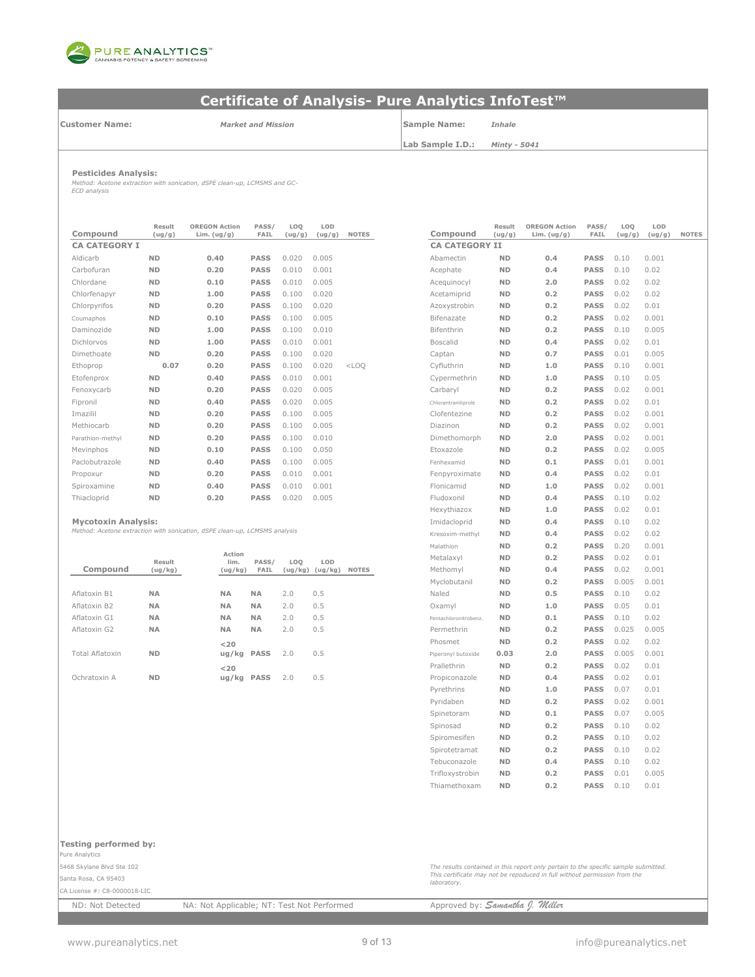

**Customer Name:**

*Market and Mission*

**Sample Name:** *Inhale*

**Lab Sample I.D.:**

*Minty - 5041*

**Pesticides Analysis:**

*Method: Acetone extraction with sonication, dSPE clean-up, LCMSMS and GC-ECD analysis*

| Compound             | Result<br>(ug/g) | <b>OREGON Action</b><br>Lim. $(ug/g)$ | PASS/<br><b>FAIL</b> | LOQ<br>(ug/g) | LOD<br>(ug/g) | <b>NOTES</b> | Compound              | Result<br>(ug/g) | <b>OREGON Action</b><br>Lim. $(ug/g)$ | PASS/<br>FAIL | LOQ<br>(ug/g) | LOD<br>(ug/ |
|----------------------|------------------|---------------------------------------|----------------------|---------------|---------------|--------------|-----------------------|------------------|---------------------------------------|---------------|---------------|-------------|
| <b>CA CATEGORY I</b> |                  |                                       |                      |               |               |              | <b>CA CATEGORY II</b> |                  |                                       |               |               |             |
| Aldicarb             | <b>ND</b>        | 0.40                                  | <b>PASS</b>          | 0.020         | 0.005         |              | Abamectin             | <b>ND</b>        | 0.4                                   | <b>PASS</b>   | 0.10          | 0.001       |
| Carbofuran           | <b>ND</b>        | 0.20                                  | <b>PASS</b>          | 0.010         | 0.001         |              | Acephate              | <b>ND</b>        | 0.4                                   | <b>PASS</b>   | 0.10          | 0.02        |
| Chlordane            | <b>ND</b>        | 0.10                                  | <b>PASS</b>          | 0.010         | 0.005         |              | Acequinocyl           | <b>ND</b>        | 2.0                                   | <b>PASS</b>   | 0.02          | 0.02        |
| Chlorfenapvr         | <b>ND</b>        | 1.00                                  | <b>PASS</b>          | 0.100         | 0.020         |              | Acetamiprid           | <b>ND</b>        | 0.2                                   | <b>PASS</b>   | 0.02          | 0.02        |
| Chlorpyrifos         | <b>ND</b>        | 0.20                                  | <b>PASS</b>          | 0.100         | 0.020         |              | Azoxystrobin          | <b>ND</b>        | 0.2                                   | <b>PASS</b>   | 0.02          | 0.01        |
| Coumaphos            | <b>ND</b>        | 0.10                                  | <b>PASS</b>          | 0.100         | 0.005         |              | Bifenazate            | <b>ND</b>        | 0.2                                   | <b>PASS</b>   | 0.02          | 0.001       |
| Daminozide           | <b>ND</b>        | 1.00                                  | <b>PASS</b>          | 0.100         | 0.010         |              | Bifenthrin            | <b>ND</b>        | 0.2                                   | <b>PASS</b>   | 0.10          | 0.005       |
| <b>Dichlorvos</b>    | <b>ND</b>        | 1.00                                  | <b>PASS</b>          | 0.010         | 0.001         |              | <b>Boscalid</b>       | <b>ND</b>        | 0.4                                   | <b>PASS</b>   | 0.02          | 0.01        |
| Dimethoate           | <b>ND</b>        | 0.20                                  | <b>PASS</b>          | 0.100         | 0.020         |              | Captan                | <b>ND</b>        | 0.7                                   | <b>PASS</b>   | 0.01          | 0.005       |
| Ethoprop             | 0.07             | 0.20                                  | <b>PASS</b>          | 0.100         | 0.020         | $<$ LOO      | Cyfluthrin            | <b>ND</b>        | 1.0                                   | <b>PASS</b>   | 0.10          | 0.001       |
| Etofenprox           | <b>ND</b>        | 0.40                                  | <b>PASS</b>          | 0.010         | 0.001         |              | Cypermethrin          | <b>ND</b>        | 1.0                                   | <b>PASS</b>   | 0.10          | 0.05        |
| Fenoxycarb           | <b>ND</b>        | 0.20                                  | <b>PASS</b>          | 0.020         | 0.005         |              | Carbaryl              | <b>ND</b>        | 0.2                                   | <b>PASS</b>   | 0.02          | 0.001       |
| Fipronil             | <b>ND</b>        | 0.40                                  | <b>PASS</b>          | 0.020         | 0.005         |              | Chlorantraniliprole   | <b>ND</b>        | 0.2                                   | <b>PASS</b>   | 0.02          | 0.01        |
| Imazilil             | <b>ND</b>        | 0.20                                  | <b>PASS</b>          | 0.100         | 0.005         |              | Clofentezine          | <b>ND</b>        | 0.2                                   | <b>PASS</b>   | 0.02          | 0.001       |
| Methiocarb           | <b>ND</b>        | 0.20                                  | <b>PASS</b>          | 0.100         | 0.005         |              | Diazinon              | <b>ND</b>        | 0.2                                   | <b>PASS</b>   | 0.02          | 0.001       |
| Parathion-methyl     | <b>ND</b>        | 0.20                                  | <b>PASS</b>          | 0.100         | 0.010         |              | Dimethomorph          | <b>ND</b>        | 2.0                                   | <b>PASS</b>   | 0.02          | 0.001       |
| Mevinphos            | <b>ND</b>        | 0.10                                  | <b>PASS</b>          | 0.100         | 0.050         |              | Etoxazole             | <b>ND</b>        | 0.2                                   | <b>PASS</b>   | 0.02          | 0.005       |
| Paclobutrazole       | <b>ND</b>        | 0.40                                  | <b>PASS</b>          | 0.100         | 0.005         |              | Fenhexamid            | <b>ND</b>        | 0.1                                   | <b>PASS</b>   | 0.01          | 0.001       |
| Propoxur             | <b>ND</b>        | 0.20                                  | <b>PASS</b>          | 0.010         | 0.001         |              | Fenpyroximate         | <b>ND</b>        | 0.4                                   | <b>PASS</b>   | 0.02          | 0.01        |
| Spiroxamine          | <b>ND</b>        | 0.40                                  | <b>PASS</b>          | 0.010         | 0.001         |              | Flonicamid            | <b>ND</b>        | 1.0                                   | <b>PASS</b>   | 0.02          | 0.001       |
| Thiacloprid          | <b>ND</b>        | 0.20                                  | <b>PASS</b>          | 0.020         | 0.005         |              | Fludoxonil            | <b>ND</b>        | 0.4                                   | <b>PASS</b>   | 0.10          | 0.02        |

### **Mycotoxin Analysis:**

*Method: Acetone extraction with sonication, dSPE clean-up, LCMSMS analysis*

|                 |           |                |             |     |                     |              | 11919 LH 11 VI 1      |           | $\sim$ . $\sim$ | ----        | . U . Z U | V.VVI |
|-----------------|-----------|----------------|-------------|-----|---------------------|--------------|-----------------------|-----------|-----------------|-------------|-----------|-------|
|                 | Result    | Action<br>lim. | PASS/       | LOO | LOD                 |              | Metalaxyl             | <b>ND</b> | 0.2             | <b>PASS</b> | 0.02      | 0.01  |
| Compound        | (ug/kg)   | (ug/kg)        | FAIL        |     | $(ug/kg)$ $(ug/kg)$ | <b>NOTES</b> | Methomyl              | <b>ND</b> | 0.4             | <b>PASS</b> | 0.02      | 0.001 |
|                 |           |                |             |     |                     |              | Myclobutanil          | <b>ND</b> | 0.2             | <b>PASS</b> | 0.005     | 0.001 |
| Aflatoxin B1    | <b>NA</b> | <b>NA</b>      | <b>NA</b>   | 2.0 | 0.5                 |              | Naled                 | <b>ND</b> | 0.5             | <b>PASS</b> | 0.10      | 0.02  |
| Aflatoxin B2    | <b>NA</b> | <b>NA</b>      | <b>NA</b>   | 2.0 | 0.5                 |              | Oxamyl                | <b>ND</b> | 1.0             | <b>PASS</b> | 0.05      | 0.01  |
| Aflatoxin G1    | <b>NA</b> | <b>NA</b>      | <b>NA</b>   | 2.0 | 0.5                 |              | Pentachloronitrobenz. | <b>ND</b> | 0.1             | <b>PASS</b> | 0.10      | 0.02  |
| Aflatoxin G2    | <b>NA</b> | <b>NA</b>      | <b>NA</b>   | 2.0 | 0.5                 |              | Permethrin            | <b>ND</b> | 0.2             | <b>PASS</b> | 0.025     | 0.005 |
|                 |           | $<$ 20         |             |     |                     |              | Phosmet               | <b>ND</b> | 0.2             | <b>PASS</b> | 0.02      | 0.02  |
| Total Aflatoxin | <b>ND</b> | ug/kg PASS     |             | 2.0 | 0.5                 |              | Piperonyl butoxide    | 0.03      | 2.0             | <b>PASS</b> | 0.005     | 0.001 |
|                 |           | $<$ 20         |             |     |                     |              | Prallethrin           | <b>ND</b> | 0.2             | <b>PASS</b> | 0.02      | 0.01  |
| Ochratoxin A    | <b>ND</b> | ug/kg          | <b>PASS</b> | 2.0 | 0.5                 |              | Propiconazole         | <b>ND</b> | 0.4             | <b>PASS</b> | 0.02      | 0.01  |
|                 |           |                |             |     |                     |              |                       |           |                 |             |           |       |

| Result<br>(ug/g)  | <b>OREGON Action</b><br>Lim. $(ug/g)$             | PASS/<br><b>FAIL</b> | LOQ<br>(ug/g)  | LOD<br>(ug/g)  | <b>NOTES</b> | Compound              | Result<br>(ug/g) | <b>OREGON Action</b><br>Lim. $(ug/g)$ | PASS/<br>FAIL | LOQ<br>(ug/g) | LOD<br>(ug/g) | <b>NOTES</b> |
|-------------------|---------------------------------------------------|----------------------|----------------|----------------|--------------|-----------------------|------------------|---------------------------------------|---------------|---------------|---------------|--------------|
|                   |                                                   |                      |                |                |              | <b>CA CATEGORY II</b> |                  |                                       |               |               |               |              |
| ND                | 0.40                                              | <b>PASS</b>          | 0.020          | 0.005          |              | Abamectin             | <b>ND</b>        | 0.4                                   | <b>PASS</b>   | 0.10          | 0.001         |              |
| ND                | 0.20                                              | <b>PASS</b>          | 0.010          | 0.001          |              | Acephate              | <b>ND</b>        | 0.4                                   | <b>PASS</b>   | 0.10          | 0.02          |              |
| ND                | 0.10                                              | <b>PASS</b>          | 0.010          | 0.005          |              | Acequinocyl           | ND               | 2.0                                   | <b>PASS</b>   | 0.02          | 0.02          |              |
| ΝD                | 1.00                                              | <b>PASS</b>          | 0.100          | 0.020          |              | Acetamiprid           | ND               | 0.2                                   | <b>PASS</b>   | 0.02          | 0.02          |              |
| ND                | 0.20                                              | <b>PASS</b>          | 0.100          | 0.020          |              | Azoxystrobin          | ND               | 0.2                                   | <b>PASS</b>   | 0.02          | 0.01          |              |
| ND                | 0.10                                              | <b>PASS</b>          | 0.100          | 0.005          |              | Bifenazate            | <b>ND</b>        | 0.2                                   | <b>PASS</b>   | 0.02          | 0.001         |              |
| ΝD                | 1.00                                              | <b>PASS</b>          | 0.100          | 0.010          |              | Bifenthrin            | <b>ND</b>        | 0.2                                   | <b>PASS</b>   | 0.10          | 0.005         |              |
| ND                | 1.00                                              | <b>PASS</b>          | 0.010          | 0.001          |              | <b>Boscalid</b>       | ND               | 0.4                                   | <b>PASS</b>   | 0.02          | 0.01          |              |
| ND                | 0.20                                              | <b>PASS</b>          | 0.100          | 0.020          |              | Captan                | ND               | 0.7                                   | <b>PASS</b>   | 0.01          | 0.005         |              |
| 0.07              | 0.20                                              | <b>PASS</b>          | 0.100          | 0.020          | $<$ LOQ      | Cyfluthrin            | ND               | 1.0                                   | <b>PASS</b>   | 0.10          | 0.001         |              |
| <b>ND</b>         | 0.40                                              | <b>PASS</b>          | 0.010          | 0.001          |              | Cypermethrin          | ND               | 1.0                                   | <b>PASS</b>   | 0.10          | 0.05          |              |
| ND                | 0.20                                              | <b>PASS</b>          | 0.020          | 0.005          |              | Carbaryl              | <b>ND</b>        | 0.2                                   | <b>PASS</b>   | 0.02          | 0.001         |              |
| ND                | 0.40                                              | <b>PASS</b>          | 0.020          | 0.005          |              | Chlorantraniliprole   | <b>ND</b>        | 0.2                                   | <b>PASS</b>   | 0.02          | 0.01          |              |
| ND                | 0.20                                              | <b>PASS</b>          | 0.100          | 0.005          |              | Clofentezine          | <b>ND</b>        | 0.2                                   | <b>PASS</b>   | 0.02          | 0.001         |              |
| ΝD                | 0.20                                              | <b>PASS</b>          | 0.100          | 0.005          |              | Diazinon              | <b>ND</b>        | 0.2                                   | <b>PASS</b>   | 0.02          | 0.001         |              |
| ND                | 0.20                                              | <b>PASS</b>          | 0.100          | 0.010          |              | Dimethomorph          | ND               | 2.0                                   | <b>PASS</b>   | 0.02          | 0.001         |              |
| ND                | 0.10                                              | <b>PASS</b>          | 0.100          | 0.050          |              | Etoxazole             | <b>ND</b>        | 0.2                                   | <b>PASS</b>   | 0.02          | 0.005         |              |
| ND                | 0.40                                              | <b>PASS</b>          | 0.100          | 0.005          |              | Fenhexamid            | <b>ND</b>        | 0.1                                   | <b>PASS</b>   | 0.01          | 0.001         |              |
| ND                | 0.20                                              | <b>PASS</b>          | 0.010          | 0.001          |              | Fenpyroximate         | ND               | 0.4                                   | <b>PASS</b>   | 0.02          | 0.01          |              |
| ND                | 0.40                                              | <b>PASS</b>          | 0.010          | 0.001          |              | Flonicamid            | ND               | 1.0                                   | <b>PASS</b>   | 0.02          | 0.001         |              |
| ND                | 0.20                                              | <b>PASS</b>          | 0.020          | 0.005          |              | Fludoxonil            | <b>ND</b>        | 0.4                                   | <b>PASS</b>   | 0.10          | 0.02          |              |
|                   |                                                   |                      |                |                |              | Hexythiazox           | ND               | 1.0                                   | <b>PASS</b>   | 0.02          | 0.01          |              |
| is:               |                                                   |                      |                |                |              | Imidacloprid          | <b>ND</b>        | 0.4                                   | <b>PASS</b>   | 0.10          | 0.02          |              |
|                   | n with sonication, dSPE clean-up, LCMSMS analysis |                      |                |                |              | Kresoxim-methyl       | <b>ND</b>        | 0.4                                   | <b>PASS</b>   | 0.02          | 0.02          |              |
|                   |                                                   |                      |                |                |              | Malathion             | ND               | 0.2                                   | <b>PASS</b>   | 0.20          | 0.001         |              |
|                   | Action                                            |                      |                |                |              | Metalaxyl             | <b>ND</b>        | 0.2                                   | <b>PASS</b>   | 0.02          | 0.01          |              |
| Result<br>(ug/kg) | lim.<br>(ug/kg)                                   | PASS/<br>FAIL        | LOQ<br>(ug/kg) | LOD<br>(ug/kg) | <b>NOTES</b> | Methomyl              | <b>ND</b>        | 0.4                                   | <b>PASS</b>   | 0.02          | 0.001         |              |
|                   |                                                   |                      |                |                |              | Myclobutanil          | ND               | 0.2                                   | <b>PASS</b>   | 0.005         | 0.001         |              |
| NΑ                | <b>NA</b>                                         | <b>NA</b>            | 2.0            | 0.5            |              | Naled                 | <b>ND</b>        | 0.5                                   | <b>PASS</b>   | 0.10          | 0.02          |              |
| NΑ                | <b>NA</b>                                         | <b>NA</b>            | 2.0            | 0.5            |              | Oxamyl                | <b>ND</b>        | 1.0                                   | <b>PASS</b>   | 0.05          | 0.01          |              |
| ΝA                | <b>NA</b>                                         | <b>NA</b>            | 2.0            | 0.5            |              | Pentachloronitrobenz. | <b>ND</b>        | 0.1                                   | <b>PASS</b>   | 0.10          | 0.02          |              |
| NΑ                | <b>NA</b>                                         | <b>NA</b>            | 2.0            | 0.5            |              | Permethrin            | <b>ND</b>        | 0.2                                   | <b>PASS</b>   | 0.025         | 0.005         |              |
|                   |                                                   |                      |                |                |              | Phosmet               | <b>ND</b>        | 0.2                                   | <b>PASS</b>   | 0.02          | 0.02          |              |
| ND                | $20$<br>ug/kg                                     | <b>PASS</b>          | 2.0            | 0.5            |              | Piperonyl butoxide    | 0.03             | 2.0                                   | <b>PASS</b>   | 0.005         | 0.001         |              |
|                   |                                                   |                      |                |                |              | Prallethrin           | <b>ND</b>        | 0.2                                   | <b>PASS</b>   | 0.02          | 0.01          |              |
| ND                | $20$<br>ug/kg PASS                                |                      | 2.0            | 0.5            |              | Propiconazole         | <b>ND</b>        | 0.4                                   | <b>PASS</b>   | 0.02          | 0.01          |              |
|                   |                                                   |                      |                |                |              | Pyrethrins            | <b>ND</b>        | 1.0                                   | <b>PASS</b>   | 0.07          | 0.01          |              |
|                   |                                                   |                      |                |                |              | Pyridaben             | <b>ND</b>        | 0.2                                   | <b>PASS</b>   | 0.02          | 0.001         |              |
|                   |                                                   |                      |                |                |              | Spinetoram            | <b>ND</b>        | 0.1                                   | <b>PASS</b>   | 0.07          | 0.005         |              |
|                   |                                                   |                      |                |                |              | Spinosad              | <b>ND</b>        | 0.2                                   | <b>PASS</b>   | 0.10          | 0.02          |              |
|                   |                                                   |                      |                |                |              | Spiromesifen          | <b>ND</b>        | 0.2                                   | <b>PASS</b>   | 0.10          | 0.02          |              |
|                   |                                                   |                      |                |                |              | Spirotetramat         | <b>ND</b>        | 0.2                                   | <b>PASS</b>   | 0.10          | 0.02          |              |
|                   |                                                   |                      |                |                |              | Tebuconazole          | <b>ND</b>        | 0.4                                   | <b>PASS</b>   | 0.10          | 0.02          |              |
|                   |                                                   |                      |                |                |              | Trifloxystrobin       | <b>ND</b>        | 0.2                                   | <b>PASS</b>   | 0.01          | 0.005         |              |
|                   |                                                   |                      |                |                |              | Thiamethoxam          | <b>ND</b>        | 0.2                                   | <b>PASS</b>   | 0.10          | 0.01          |              |
|                   |                                                   |                      |                |                |              |                       |                  |                                       |               |               |               |              |

### **Testing performed by:**  Pure Analytics 5468 Skylane Blvd Ste 102 Santa Rosa, CA 95403 CA License #: C8-0000018-LIC ND: Not Detected NA: Not Applicable; NT: Test Not Performed Approved by: **Samantha J. Willer** *The results contained in this report only pertain to the specific sample submitted. This certificate may not be repoduced in full without permission from the laboratory.*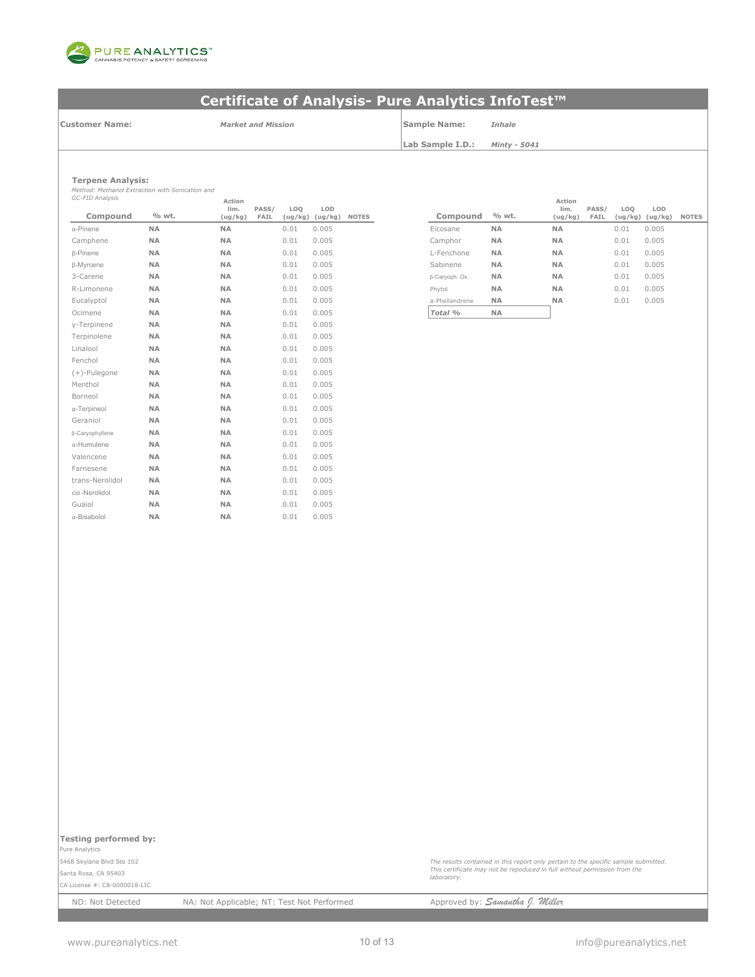

**Customer Name:**

*Market and Mission* **Sample Name:** *Inhale*

**Lab Sample I.D.:** *Minty - 5041*

**Terpene Analysis:**

*Method: Methanol Extraction with Sonication and GC-FID Analysis*

| GC-FID Analysis     |           | Action<br>lim. | PASS/ | LOQ     | LOD     |              |                |           |
|---------------------|-----------|----------------|-------|---------|---------|--------------|----------------|-----------|
| Compound            | % wt.     | (ug/kg)        | FAIL  | (ug/kg) | (ug/kg) | <b>NOTES</b> | Compound       | % wt.     |
| $\alpha$ -Pinene    | <b>NA</b> | <b>NA</b>      |       | 0.01    | 0.005   |              | Eicosane       | <b>NA</b> |
| Camphene            | <b>NA</b> | <b>NA</b>      |       | 0.01    | 0.005   |              | Camphor        | <b>NA</b> |
| <b>B-Pinene</b>     | <b>NA</b> | <b>NA</b>      |       | 0.01    | 0.005   |              | L-Fenchone     | <b>NA</b> |
| β-Myrcene           | <b>NA</b> | <b>NA</b>      |       | 0.01    | 0.005   |              | Sabinene       | <b>NA</b> |
| 3-Carene            | <b>NA</b> | <b>NA</b>      |       | 0.01    | 0.005   |              | β-Caryoph. Ox. | <b>NA</b> |
| R-Limonene          | <b>NA</b> | <b>NA</b>      |       | 0.01    | 0.005   |              | Phytol         | <b>NA</b> |
| Eucalyptol          | <b>NA</b> | <b>NA</b>      |       | 0.01    | 0.005   |              | a-Phellandrene | <b>NA</b> |
| Ocimene             | <b>NA</b> | NA             |       | 0.01    | 0.005   |              | Total %        | <b>NA</b> |
| y-Terpinene         | <b>NA</b> | <b>NA</b>      |       | 0.01    | 0.005   |              |                |           |
| Terpinolene         | <b>NA</b> | <b>NA</b>      |       | 0.01    | 0.005   |              |                |           |
| Linalool            | <b>NA</b> | <b>NA</b>      |       | 0.01    | 0.005   |              |                |           |
| Fenchol             | <b>NA</b> | <b>NA</b>      |       | 0.01    | 0.005   |              |                |           |
| $(+)$ -Pulegone     | <b>NA</b> | <b>NA</b>      |       | 0.01    | 0.005   |              |                |           |
| Menthol             | <b>NA</b> | <b>NA</b>      |       | 0.01    | 0.005   |              |                |           |
| Borneol             | <b>NA</b> | <b>NA</b>      |       | 0.01    | 0.005   |              |                |           |
| $\alpha$ -Terpineol | NA        | NA             |       | 0.01    | 0.005   |              |                |           |
| Geraniol            | <b>NA</b> | <b>NA</b>      |       | 0.01    | 0.005   |              |                |           |
| β-Caryophyllene     | <b>NA</b> | <b>NA</b>      |       | 0.01    | 0.005   |              |                |           |
| α-Humulene          | <b>NA</b> | <b>NA</b>      |       | 0.01    | 0.005   |              |                |           |
| Valencene           | <b>NA</b> | <b>NA</b>      |       | 0.01    | 0.005   |              |                |           |
| Farnesene           | <b>NA</b> | <b>NA</b>      |       | 0.01    | 0.005   |              |                |           |
| trans-Nerolidol     | NA        | NA             |       | 0.01    | 0.005   |              |                |           |
| cis-Nerolidol       | <b>NA</b> | <b>NA</b>      |       | 0.01    | 0.005   |              |                |           |
| Guaiol              | <b>NA</b> | <b>NA</b>      |       | 0.01    | 0.005   |              |                |           |
| α-Bisabolol         | <b>NA</b> | <b>NA</b>      |       | 0.01    | 0.005   |              |                |           |

| Action<br>lim. | PASS/ |                | LOD     |              |                |           | Action<br>lim. | PASS/ | LO <sub>0</sub> | LOD     |              |
|----------------|-------|----------------|---------|--------------|----------------|-----------|----------------|-------|-----------------|---------|--------------|
| (ug/kg)        | FAIL  | LOQ<br>(ug/kg) | (ug/kg) | <b>NOTES</b> | Compound       | % wt.     | (ug/kg)        | FAIL  | (ug/kg)         | (ug/kg) | <b>NOTES</b> |
| <b>NA</b>      |       | 0.01           | 0.005   |              | Eicosane       | <b>NA</b> | <b>NA</b>      |       | 0.01            | 0.005   |              |
| <b>NA</b>      |       | 0.01           | 0.005   |              | Camphor        | <b>NA</b> | <b>NA</b>      |       | 0.01            | 0.005   |              |
| <b>NA</b>      |       | 0.01           | 0.005   |              | L-Fenchone     | <b>NA</b> | <b>NA</b>      |       | 0.01            | 0.005   |              |
| <b>NA</b>      |       | 0.01           | 0.005   |              | Sabinene       | <b>NA</b> | <b>NA</b>      |       | 0.01            | 0.005   |              |
| NA             |       | 0.01           | 0.005   |              | β-Caryoph. Ox. | <b>NA</b> | <b>NA</b>      |       | 0.01            | 0.005   |              |
| NA             |       | 0.01           | 0.005   |              | Phytol         | <b>NA</b> | <b>NA</b>      |       | 0.01            | 0.005   |              |
| <b>NA</b>      |       | 0.01           | 0.005   |              | a-Phellandrene | <b>NA</b> | <b>NA</b>      |       | 0.01            | 0.005   |              |
| NA             |       | 0.01           | 0.005   |              | Total %        | <b>NA</b> |                |       |                 |         |              |

**Testing performed by:** 

Pure Analytics 5468 Skylane Blvd Ste 102

Santa Rosa, CA 95403 CA License #: C8-0000018-LIC

ND: Not Detected NA: Not Applicable; NT: Test Not Performed Approved by: **Samantha J. Willer** 

*laboratory.*

*The results contained in this report only pertain to the specific sample submitted. This certificate may not be repoduced in full without permission from the*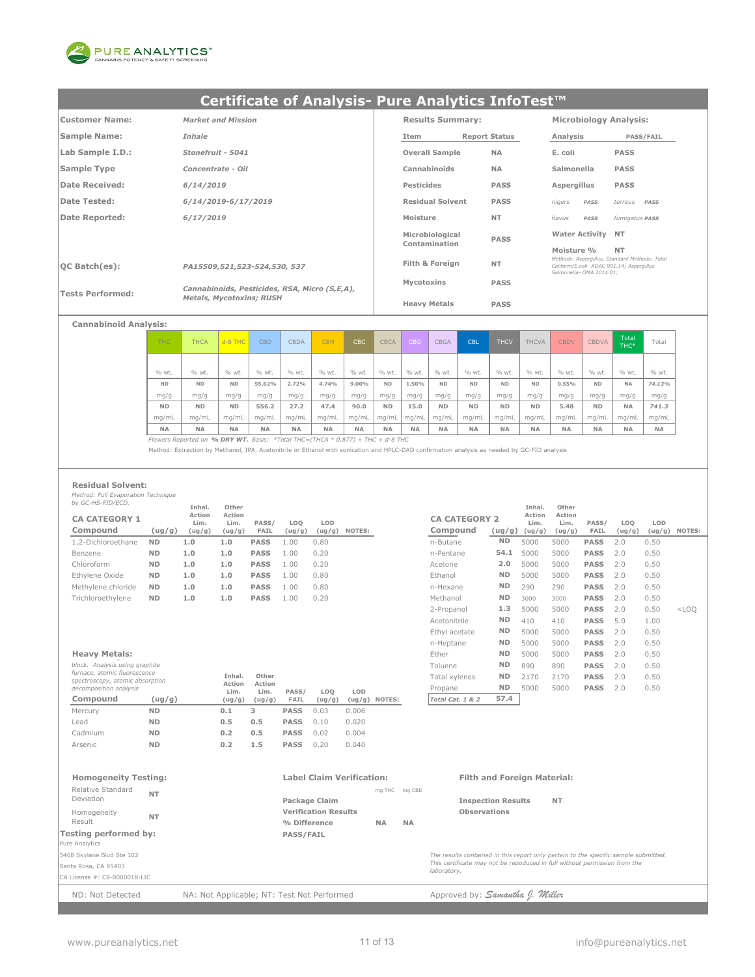

| Customer Name:          | <b>Market and Mission</b>                     | <b>Results Summary:</b> |                      | <b>Microbiology Analysis:</b>                                         |                                               |
|-------------------------|-----------------------------------------------|-------------------------|----------------------|-----------------------------------------------------------------------|-----------------------------------------------|
| Sample Name:            | Inhale                                        | Item                    | <b>Report Status</b> | Analysis                                                              | <b>PASS/FAIL</b>                              |
| Lab Sample I.D.:        | Stonefruit - 5041                             | <b>Overall Sample</b>   | <b>NA</b>            | E. coli                                                               | <b>PASS</b>                                   |
| Sample Type             | Concentrate - Oil                             | Cannabinoids            | <b>NA</b>            | Salmonella                                                            | <b>PASS</b>                                   |
| Date Received:          | 6/14/2019                                     | Pesticides              | <b>PASS</b>          | Aspergillus                                                           | <b>PASS</b>                                   |
| Date Tested:            | 6/14/2019-6/17/2019                           | <b>Residual Solvent</b> | <b>PASS</b>          | nigers<br>PASS                                                        | terreus<br>PASS                               |
| Date Reported:          | 6/17/2019                                     | Moisture                | <b>NT</b>            | flavus<br>PASS                                                        | fumigatus PASS                                |
|                         |                                               | Microbiological         | <b>PASS</b>          | <b>Water Activity NT</b>                                              |                                               |
|                         |                                               | Contamination           |                      | Moisture %                                                            | <b>NT</b>                                     |
| $ OC$ Batch $(es)$ :    | PA15509,521,523-524,530, 537                  | Filth & Foreign         | <b>NT</b>            | Coliform/E.coli- AOAC 991.14; Aspergillus<br>Salmonella- OMA 2014.01: | Methods: Aspergillus, Standard Methods; Total |
|                         | Cannabinoids, Pesticides, RSA, Micro (S,E,A), | Mycotoxins              | <b>PASS</b>          |                                                                       |                                               |
| <b>Tests Performed:</b> | <b>Metals, Mycotoxins; RUSH</b>               | <b>Heavy Metals</b>     | <b>PASS</b>          |                                                                       |                                               |

### **Cannabinoid Analysis:**

| THC.      | <b>THCA</b> | $d - 8$ THC | <b>CBD</b> | <b>CBDA</b> | <b>CBN</b> | CBC       | <b>CBCA</b> | <b>CBG</b> | <b>CBGA</b> | <b>CBL</b> | <b>THCV</b> | <b>THCVA</b> | <b>CBDV</b> | <b>CBDVA</b> | Total<br>THC* | Total     |
|-----------|-------------|-------------|------------|-------------|------------|-----------|-------------|------------|-------------|------------|-------------|--------------|-------------|--------------|---------------|-----------|
|           |             |             |            |             |            |           |             |            |             |            |             |              |             |              |               |           |
| % wt.     | % wt.       | % wt.       | % wt.      | % wt.       | % wt.      | % wt.     | % wt.       | % wt.      | % wt.       | % wt.      | % wt.       | % wt.        | % wt.       | % wt.        | % wt.         | % wt.     |
| <b>ND</b> | <b>ND</b>   | <b>ND</b>   | 55.62%     | 2.72%       | 4.74%      | 9.00%     | <b>ND</b>   | 1.50%      | <b>ND</b>   | <b>ND</b>  | <b>ND</b>   | <b>ND</b>    | 0.55%       | <b>ND</b>    | <b>NA</b>     | 74.13%    |
| mg/g      | mg/g        | mg/g        | mg/g       | mg/g        | mg/g       | mg/g      | mg/g        | mg/g       | mg/g        | mg/g       | mg/g        | mg/g         | mg/g        | mg/g         | mg/g          | mg/g      |
| <b>ND</b> | <b>ND</b>   | <b>ND</b>   | 556.2      | 27.2        | 47.4       | 90.0      | <b>ND</b>   | 15.0       | <b>ND</b>   | <b>ND</b>  | <b>ND</b>   | <b>ND</b>    | 5.48        | <b>ND</b>    | <b>NA</b>     | 741.3     |
| mq/mL     | ma/mL       | ma/mL       | ma/mL      | mg/mL       | mq/mL      | ma/mL     | ma/mL       | mg/mL      | mg/mL       | mq/ml      | mq/mL       | mq/mL        | mq/mL       | mg/mL        | ma/mL         | mg/mL     |
| <b>NA</b> | <b>NA</b>   | <b>NA</b>   | <b>NA</b>  | <b>NA</b>   | <b>NA</b>  | <b>NA</b> | <b>NA</b>   | <b>NA</b>  | <b>NA</b>   | <b>NA</b>  | <b>NA</b>   | <b>NA</b>    | <b>NA</b>   | <b>NA</b>    | <b>NA</b>     | <b>NA</b> |

*Flowers Reported on % DRY WT. Basis; \*Total THC=(THCA \* 0.877) + THC + d-8 THC*

Method: Extraction by Methanol, IPA, Acetonitrile or Ethanol with sonication and HPLC-DAD confirmation analysis as needed by GC-FID analysis

#### **Residual Solvent:**

*Method: Full Evaporation Technique by GC-HS-FID/ECD.*

|                                  |           | Inhal.                   | Other                    |               |                           |               |        |                                  |           | Inhal.                              | Other                    |               |               |      |                 |
|----------------------------------|-----------|--------------------------|--------------------------|---------------|---------------------------|---------------|--------|----------------------------------|-----------|-------------------------------------|--------------------------|---------------|---------------|------|-----------------|
| <b>CA CATEGORY 1</b><br>Compound | (ug/g)    | Action<br>Lim.<br>(ug/g) | Action<br>Lim.<br>(ug/g) | PASS/<br>FAIL | LO <sub>O</sub><br>(ug/g) | LOD<br>(ug/g) | NOTES: | <b>CA CATEGORY 2</b><br>Compound |           | Action<br>Lim.<br>$(ug/g)$ $(ug/g)$ | Action<br>Lim.<br>(ug/g) | PASS/<br>FAIL | LOO<br>(ug/g) | LOD  | $(ug/g)$ NOTES: |
| 1,2-Dichloroethane               | <b>ND</b> | 1.0                      | 1.0                      | <b>PASS</b>   | 1.00                      | 0.80          |        | n-Butane                         | <b>ND</b> | 5000                                | 5000                     | <b>PASS</b>   | 2.0           | 0.50 |                 |
| Benzene                          | <b>ND</b> | 1.0                      | 1.0                      | <b>PASS</b>   | 1.00                      | 0.20          |        | n-Pentane                        | 54.1      | 5000                                | 5000                     | <b>PASS</b>   | 2.0           | 0.50 |                 |
| Chloroform                       | <b>ND</b> | 1.0                      | 1.0                      | <b>PASS</b>   | 1.00                      | 0.20          |        | Acetone                          | 2.0       | 5000                                | 5000                     | <b>PASS</b>   | 2.0           | 0.50 |                 |
| Ethylene Oxide                   | <b>ND</b> | 1.0                      | 1.0                      | <b>PASS</b>   | 1.00                      | 0.80          |        | Ethanol                          | <b>ND</b> | 5000                                | 5000                     | <b>PASS</b>   | 2.0           | 0.50 |                 |
| Methylene chloride               | <b>ND</b> | 1.0                      | 1.0                      | <b>PASS</b>   | 1.00                      | 0.80          |        | n-Hexane                         | <b>ND</b> | 290                                 | 290                      | <b>PASS</b>   | 2.0           | 0.50 |                 |
| Trichloroethylene                | <b>ND</b> | 1.0                      | 1.0                      | <b>PASS</b>   | 1.00                      | 0.20          |        | Methanol                         | <b>ND</b> | 3000                                | 3000                     | <b>PASS</b>   | 2.0           | 0.50 |                 |

| block. Analysis using graphite<br>furnace, atomic fluorescence<br>spectroscopy, atomic absorption<br>decomposition analysis |           | Inhal.<br>Action<br>Lim. | Other<br>Action<br>Lim. | PASS/       | LOO    | LOD     |        |
|-----------------------------------------------------------------------------------------------------------------------------|-----------|--------------------------|-------------------------|-------------|--------|---------|--------|
| Compound                                                                                                                    | (ug/g)    | (ug/g)                   | (ug/g)                  | FAIL        | (ug/g) | ( uq/q) | NOTES: |
| Mercury                                                                                                                     | <b>ND</b> | 0.1                      | з                       | <b>PASS</b> | 0.03   | 0.006   |        |
| Lead                                                                                                                        | <b>ND</b> | 0.5                      | 0.5                     | <b>PASS</b> | 0.10   | 0.020   |        |
| Cadmium                                                                                                                     | <b>ND</b> | 0.2                      | 0.5                     | <b>PASS</b> | 0.02   | 0.004   |        |
| Arsenic                                                                                                                     | <b>ND</b> | 0.2                      | 1.5                     | <b>PASS</b> | 0.20   | 0.040   |        |

|                                                                 |           | Inhal.         | Other          |                |        |        |                  |                      |           | Inhal.         | Other          |             |        |        |         |
|-----------------------------------------------------------------|-----------|----------------|----------------|----------------|--------|--------|------------------|----------------------|-----------|----------------|----------------|-------------|--------|--------|---------|
| <b>CA CATEGORY 1</b>                                            |           | Action<br>Lim. | Action<br>Lim. | PASS/          | LOQ    | LOD    |                  | <b>CA CATEGORY 2</b> |           | Action<br>Lim. | Action<br>Lim. | PASS/       | LOQ    | LOD    |         |
| Compound                                                        | (ug/g)    | (ug/g)         | (ug/g)         | FAIL           | (ug/g) | (ug/g) | NOTES:           | Compound             | (ug/g)    | (ug/g)         | (ug/g)         | FAIL        | (ug/g) | (ug/g) | NOTES:  |
| 1,2-Dichloroethane                                              | <b>ND</b> | 1.0            | 1.0            | <b>PASS</b>    | 1.00   | 0.80   |                  | n-Butane             | <b>ND</b> | 5000           | 5000           | <b>PASS</b> | 2.0    | 0.50   |         |
| Benzene                                                         | <b>ND</b> | 1.0            | 1.0            | <b>PASS</b>    | 1.00   | 0.20   |                  | n-Pentane            | 54.1      | 5000           | 5000           | <b>PASS</b> | 2.0    | 0.50   |         |
| Chloroform                                                      | <b>ND</b> | 1.0            | 1.0            | <b>PASS</b>    | 1.00   | 0.20   |                  | Acetone              | 2.0       | 5000           | 5000           | <b>PASS</b> | 2.0    | 0.50   |         |
| Ethvlene Oxide                                                  | <b>ND</b> | 1.0            | 1.0            | <b>PASS</b>    | 1.00   | 0.80   |                  | Ethanol              | <b>ND</b> | 5000           | 5000           | <b>PASS</b> | 2.0    | 0.50   |         |
| Methylene chloride                                              | <b>ND</b> | 1.0            | 1.0            | <b>PASS</b>    | 1.00   | 0.80   |                  | n-Hexane             | <b>ND</b> | 290            | 290            | <b>PASS</b> | 2.0    | 0.50   |         |
| Trichloroethylene                                               | <b>ND</b> | 1.0            | 1.0            | <b>PASS</b>    | 1.00   | 0.20   |                  | Methanol             | <b>ND</b> | 3000           | 3000           | <b>PASS</b> | 2.0    | 0.50   |         |
|                                                                 |           |                |                |                |        |        |                  | 2-Propanol           | 1.3       | 5000           | 5000           | <b>PASS</b> | 2.0    | 0.50   | $<$ LOO |
|                                                                 |           |                |                |                |        |        |                  | Acetonitrile         | <b>ND</b> | 410            | 410            | <b>PASS</b> | 5.0    | 1.00   |         |
|                                                                 |           |                |                |                |        |        |                  | Ethyl acetate        | <b>ND</b> | 5000           | 5000           | <b>PASS</b> | 2.0    | 0.50   |         |
|                                                                 |           |                |                |                |        |        |                  | n-Heptane            | <b>ND</b> | 5000           | 5000           | <b>PASS</b> | 2.0    | 0.50   |         |
| <b>Heavy Metals:</b>                                            |           |                |                |                |        |        |                  | Ether                | <b>ND</b> | 5000           | 5000           | <b>PASS</b> | 2.0    | 0.50   |         |
| block. Analysis using graphite                                  |           |                |                |                |        |        |                  | Toluene              | <b>ND</b> | 890            | 890            | <b>PASS</b> | 2.0    | 0.50   |         |
| furnace, atomic fluorescence<br>spectroscopy, atomic absorption |           |                | Inhal.         | Other          |        |        |                  | Total xylenes        | <b>ND</b> | 2170           | 2170           | <b>PASS</b> | 2.0    | 0.50   |         |
| decomposition analysis                                          |           |                | Action<br>Lim. | Action<br>Lim. | PASS/  | LOQ    | LOD              | Propane              | <b>ND</b> | 5000           | 5000           | <b>PASS</b> | 2.0    | 0.50   |         |
| Compound                                                        | (ug/g)    |                | (ug/g)         | (ug/g)         | FAIL   | (ug/g) | NOTES:<br>(ug/g) | Total Cat. 1 & 2     | 57.4      |                |                |             |        |        |         |
|                                                                 |           |                |                |                |        |        |                  |                      |           |                |                |             |        |        |         |

#### **Homogeneity Testing: Label Claim Verification: Filth and Foreign Material:** mg THC mg CBD **Package Claim Community Community Community Community Package Claim Verification Results Observations % Difference NA NA Testing performed by: PASS/FAIL** Pure Analytics 5468 Skylane Blvd Ste 102 Santa Rosa, CA 95403 CA License #: C8-0000018-LIC Relative Standard Deviation **NT** Homogeneity Result **NT** *The results contained in this report only pertain to the specific sample submitted. This certificate may not be repoduced in full without permission from the laboratory.*

ND: Not Detected NA: Not Applicable; NT: Test Not Performed Approved by: **Samantha J. Miller**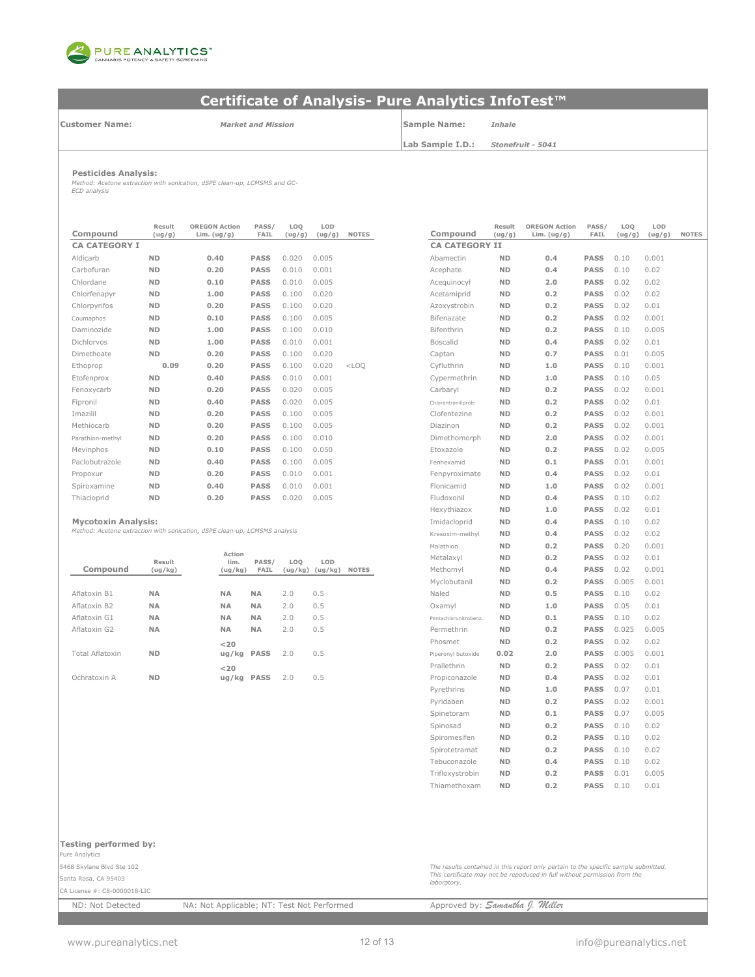

**Customer Name:**

*Market and Mission*

**Sample Name:** *Inhale*

**Lab Sample I.D.:**

*Stonefruit - 5041*

**Pesticides Analysis:** *Method: Acetone extraction with sonication, dSPE clean-up, LCMSMS and GC-ECD analysis*

| Compound             | Result<br>(ug/g) | <b>OREGON Action</b><br>Lim. $(ug/g)$ | PASS/<br><b>FAIL</b> | LOQ<br>(ug/g) | LOD<br>(ug/g) | <b>NOTES</b> | Compound              | Result<br>(ug/g) | <b>OREGON Action</b><br>Lim. $(ug/g)$ | PASS/<br>FAIL | LOQ<br>(ug/g) | LOD<br>(ug/ |
|----------------------|------------------|---------------------------------------|----------------------|---------------|---------------|--------------|-----------------------|------------------|---------------------------------------|---------------|---------------|-------------|
| <b>CA CATEGORY I</b> |                  |                                       |                      |               |               |              | <b>CA CATEGORY II</b> |                  |                                       |               |               |             |
| Aldicarb             | <b>ND</b>        | 0.40                                  | <b>PASS</b>          | 0.020         | 0.005         |              | Abamectin             | <b>ND</b>        | 0.4                                   | <b>PASS</b>   | 0.10          | 0.001       |
| Carbofuran           | <b>ND</b>        | 0.20                                  | <b>PASS</b>          | 0.010         | 0.001         |              | Acephate              | <b>ND</b>        | 0.4                                   | <b>PASS</b>   | 0.10          | 0.02        |
| Chlordane            | <b>ND</b>        | 0.10                                  | <b>PASS</b>          | 0.010         | 0.005         |              | Acequinocyl           | <b>ND</b>        | 2.0                                   | <b>PASS</b>   | 0.02          | 0.02        |
| Chlorfenapyr         | <b>ND</b>        | 1.00                                  | <b>PASS</b>          | 0.100         | 0.020         |              | Acetamiprid           | <b>ND</b>        | 0.2                                   | <b>PASS</b>   | 0.02          | 0.02        |
| Chlorpyrifos         | <b>ND</b>        | 0.20                                  | <b>PASS</b>          | 0.100         | 0.020         |              | Azoxystrobin          | <b>ND</b>        | 0.2                                   | <b>PASS</b>   | 0.02          | 0.01        |
| Coumaphos            | <b>ND</b>        | 0.10                                  | <b>PASS</b>          | 0.100         | 0.005         |              | Bifenazate            | <b>ND</b>        | 0.2                                   | <b>PASS</b>   | 0.02          | 0.001       |
| Daminozide           | <b>ND</b>        | 1.00                                  | <b>PASS</b>          | 0.100         | 0.010         |              | Bifenthrin            | <b>ND</b>        | 0.2                                   | <b>PASS</b>   | 0.10          | 0.005       |
| Dichlorvos           | <b>ND</b>        | 1.00                                  | <b>PASS</b>          | 0.010         | 0.001         |              | <b>Boscalid</b>       | <b>ND</b>        | 0.4                                   | <b>PASS</b>   | 0.02          | 0.01        |
| Dimethoate           | <b>ND</b>        | 0.20                                  | <b>PASS</b>          | 0.100         | 0.020         |              | Captan                | <b>ND</b>        | 0.7                                   | <b>PASS</b>   | 0.01          | 0.005       |
| Ethoprop             | 0.09             | 0.20                                  | <b>PASS</b>          | 0.100         | 0.020         | $<$ LOO      | Cyfluthrin            | <b>ND</b>        | 1.0                                   | <b>PASS</b>   | 0.10          | 0.001       |
| Etofenprox           | <b>ND</b>        | 0.40                                  | <b>PASS</b>          | 0.010         | 0.001         |              | Cypermethrin          | <b>ND</b>        | 1.0                                   | <b>PASS</b>   | 0.10          | 0.05        |
| Fenoxycarb           | <b>ND</b>        | 0.20                                  | <b>PASS</b>          | 0.020         | 0.005         |              | Carbaryl              | <b>ND</b>        | 0.2                                   | <b>PASS</b>   | 0.02          | 0.001       |
| Fipronil             | <b>ND</b>        | 0.40                                  | <b>PASS</b>          | 0.020         | 0.005         |              | Chlorantraniliprole   | <b>ND</b>        | 0.2                                   | <b>PASS</b>   | 0.02          | 0.01        |
| Imazilil             | <b>ND</b>        | 0.20                                  | <b>PASS</b>          | 0.100         | 0.005         |              | Clofentezine          | <b>ND</b>        | 0.2                                   | <b>PASS</b>   | 0.02          | 0.001       |
| Methiocarb           | <b>ND</b>        | 0.20                                  | <b>PASS</b>          | 0.100         | 0.005         |              | Diazinon              | <b>ND</b>        | 0.2                                   | <b>PASS</b>   | 0.02          | 0.001       |
| Parathion-methyl     | <b>ND</b>        | 0.20                                  | <b>PASS</b>          | 0.100         | 0.010         |              | Dimethomorph          | <b>ND</b>        | 2.0                                   | <b>PASS</b>   | 0.02          | 0.001       |
| Mevinphos            | <b>ND</b>        | 0.10                                  | <b>PASS</b>          | 0.100         | 0.050         |              | Etoxazole             | <b>ND</b>        | 0.2                                   | <b>PASS</b>   | 0.02          | 0.005       |
| Paclobutrazole       | <b>ND</b>        | 0.40                                  | <b>PASS</b>          | 0.100         | 0.005         |              | Fenhexamid            | <b>ND</b>        | 0.1                                   | <b>PASS</b>   | 0.01          | 0.001       |
| Propoxur             | <b>ND</b>        | 0.20                                  | <b>PASS</b>          | 0.010         | 0.001         |              | Fenpyroximate         | <b>ND</b>        | 0.4                                   | <b>PASS</b>   | 0.02          | 0.01        |
| Spiroxamine          | <b>ND</b>        | 0.40                                  | <b>PASS</b>          | 0.010         | 0.001         |              | Flonicamid            | <b>ND</b>        | 1.0                                   | <b>PASS</b>   | 0.02          | 0.001       |
| Thiacloprid          | <b>ND</b>        | 0.20                                  | <b>PASS</b>          | 0.020         | 0.005         |              | Fludoxonil            | <b>ND</b>        | 0.4                                   | <b>PASS</b>   | 0.10          | 0.02        |

|                 |           |                |             |     |                     |              | .                     | ---       |     |             |       |       |
|-----------------|-----------|----------------|-------------|-----|---------------------|--------------|-----------------------|-----------|-----|-------------|-------|-------|
|                 | Result    | Action<br>lim. | PASS/       | LOQ | LOD                 |              | Metalaxyl             | <b>ND</b> | 0.2 | <b>PASS</b> | 0.02  | 0.01  |
| Compound        | (ug/kg)   | (ug/kg)        | FAIL        |     | $(ug/kg)$ $(ug/kg)$ | <b>NOTES</b> | Methomyl              | <b>ND</b> | 0.4 | <b>PASS</b> | 0.02  | 0.001 |
|                 |           |                |             |     |                     |              | Myclobutanil          | <b>ND</b> | 0.2 | <b>PASS</b> | 0.005 | 0.001 |
| Aflatoxin B1    | <b>NA</b> | <b>NA</b>      | <b>NA</b>   | 2.0 | 0.5                 |              | Naled                 | <b>ND</b> | 0.5 | <b>PASS</b> | 0.10  | 0.02  |
| Aflatoxin B2    | <b>NA</b> | <b>NA</b>      | <b>NA</b>   | 2.0 | 0.5                 |              | Oxamyl                | <b>ND</b> | 1.0 | <b>PASS</b> | 0.05  | 0.01  |
| Aflatoxin G1    | <b>NA</b> | <b>NA</b>      | <b>NA</b>   | 2.0 | 0.5                 |              | Pentachloronitrobenz. | <b>ND</b> | 0.1 | <b>PASS</b> | 0.10  | 0.02  |
| Aflatoxin G2    | <b>NA</b> | <b>NA</b>      | <b>NA</b>   | 2.0 | 0.5                 |              | Permethrin            | <b>ND</b> | 0.2 | <b>PASS</b> | 0.025 | 0.005 |
|                 |           | $<$ 20         |             |     |                     |              | Phosmet               | <b>ND</b> | 0.2 | <b>PASS</b> | 0.02  | 0.02  |
| Total Aflatoxin | <b>ND</b> | ug/kg PASS     |             | 2.0 | 0.5                 |              | Piperonyl butoxide    | 0.02      | 2.0 | <b>PASS</b> | 0.005 | 0.001 |
|                 |           | $<$ 20         |             |     |                     |              | Prallethrin           | <b>ND</b> | 0.2 | <b>PASS</b> | 0.02  | 0.01  |
| Ochratoxin A    | <b>ND</b> | uq/kg          | <b>PASS</b> | 2.0 | 0.5                 |              | Propiconazole         | <b>ND</b> | 0.4 | <b>PASS</b> | 0.02  | 0.01  |
|                 |           |                |             |     |                     |              |                       |           |     |             |       |       |

| Compound                                                                   | Result<br>(ug/g)  | <b>OREGON Action</b><br>Lim. $(ug/g)$ | PASS/<br>FAIL | LOQ<br>(ug/g)  | LOD<br>(ug/g) | <b>NOTES</b> | Compound                | Result<br>(ug/g) | <b>OREGON Action</b><br>Lim. $(ug/g)$ | PASS/<br>FAIL              | LOQ<br>(ug/g) | LOD<br>(ug/g) | <b>NOTES</b> |
|----------------------------------------------------------------------------|-------------------|---------------------------------------|---------------|----------------|---------------|--------------|-------------------------|------------------|---------------------------------------|----------------------------|---------------|---------------|--------------|
| <b>CA CATEGORY I</b>                                                       |                   |                                       |               |                |               |              | <b>CA CATEGORY II</b>   |                  |                                       |                            |               |               |              |
| Aldicarb                                                                   | <b>ND</b>         | 0.40                                  | <b>PASS</b>   | 0.020          | 0.005         |              | Abamectin               | <b>ND</b>        | 0.4                                   | <b>PASS</b>                | 0.10          | 0.001         |              |
| Carbofuran                                                                 | <b>ND</b>         | 0.20                                  | <b>PASS</b>   | 0.010          | 0.001         |              | Acephate                | <b>ND</b>        | 0.4                                   | <b>PASS</b>                | 0.10          | 0.02          |              |
| Chlordane                                                                  | <b>ND</b>         | 0.10                                  | <b>PASS</b>   | 0.010          | 0.005         |              | Acequinocyl             | <b>ND</b>        | 2.0                                   | <b>PASS</b>                | 0.02          | 0.02          |              |
|                                                                            | <b>ND</b>         | 1.00                                  | <b>PASS</b>   |                | 0.020         |              |                         | <b>ND</b>        | 0.2                                   | <b>PASS</b>                | 0.02          | 0.02          |              |
| Chlorfenapyr                                                               |                   | 0.20                                  |               | 0.100          |               |              | Acetamiprid             |                  | 0.2                                   |                            | 0.02          | 0.01          |              |
| Chlorpyrifos                                                               | <b>ND</b>         |                                       | <b>PASS</b>   | 0.100          | 0.020         |              | Azoxystrobin            | <b>ND</b>        |                                       | <b>PASS</b>                |               |               |              |
| Coumaphos                                                                  | <b>ND</b>         | 0.10                                  | <b>PASS</b>   | 0.100          | 0.005         |              | Bifenazate              | <b>ND</b>        | 0.2                                   | <b>PASS</b>                | 0.02          | 0.001         |              |
| Daminozide                                                                 | <b>ND</b>         | 1.00                                  | <b>PASS</b>   | 0.100          | 0.010         |              | Bifenthrin              | <b>ND</b>        | 0.2                                   | <b>PASS</b>                | 0.10          | 0.005         |              |
| Dichlorvos                                                                 | <b>ND</b>         | 1.00                                  | <b>PASS</b>   | 0.010          | 0.001         |              | <b>Boscalid</b>         | <b>ND</b>        | 0.4                                   | <b>PASS</b>                | 0.02          | 0.01          |              |
| Dimethoate                                                                 | <b>ND</b>         | 0.20                                  | <b>PASS</b>   | 0.100          | 0.020         |              | Captan                  | <b>ND</b>        | 0.7                                   | <b>PASS</b>                | 0.01          | 0.005         |              |
| Ethoprop                                                                   | 0.09              | 0.20                                  | <b>PASS</b>   | 0.100          | 0.020         | $<$ LOQ      | Cyfluthrin              | <b>ND</b>        | 1.0                                   | <b>PASS</b>                | 0.10          | 0.001         |              |
| Etofenprox                                                                 | <b>ND</b>         | 0.40                                  | <b>PASS</b>   | 0.010          | 0.001         |              | Cypermethrin            | <b>ND</b>        | 1.0                                   | <b>PASS</b>                | 0.10          | 0.05          |              |
| Fenoxycarb                                                                 | <b>ND</b>         | 0.20                                  | <b>PASS</b>   | 0.020          | 0.005         |              | Carbaryl                | <b>ND</b>        | 0.2                                   | <b>PASS</b>                | 0.02          | 0.001         |              |
| Fipronil                                                                   | <b>ND</b>         | 0.40                                  | <b>PASS</b>   | 0.020          | 0.005         |              | Chlorantraniliprole     | <b>ND</b>        | 0.2                                   | <b>PASS</b>                | 0.02          | 0.01          |              |
| Imazilil                                                                   | <b>ND</b>         | 0.20                                  | <b>PASS</b>   | 0.100          | 0.005         |              | Clofentezine            | <b>ND</b>        | 0.2                                   | <b>PASS</b>                | 0.02          | 0.001         |              |
| Methiocarb                                                                 | <b>ND</b>         | 0.20                                  | <b>PASS</b>   | 0.100          | 0.005         |              | Diazinon                | <b>ND</b>        | 0.2                                   | <b>PASS</b>                | 0.02          | 0.001         |              |
| Parathion-methyl                                                           | <b>ND</b>         | 0.20                                  | <b>PASS</b>   | 0.100          | 0.010         |              | Dimethomorph            | <b>ND</b>        | 2.0                                   | <b>PASS</b>                | 0.02          | 0.001         |              |
| Mevinphos                                                                  | <b>ND</b>         | 0.10                                  | <b>PASS</b>   | 0.100          | 0.050         |              | Etoxazole               | <b>ND</b>        | 0.2                                   | <b>PASS</b>                | 0.02          | 0.005         |              |
| Paclobutrazole                                                             | <b>ND</b>         | 0.40                                  | <b>PASS</b>   | 0.100          | 0.005         |              | Fenhexamid              | <b>ND</b>        | 0.1                                   | <b>PASS</b>                | 0.01          | 0.001         |              |
| Propoxur                                                                   | <b>ND</b>         | 0.20                                  | <b>PASS</b>   | 0.010          | 0.001         |              | Fenpyroximate           | <b>ND</b>        | 0.4                                   | <b>PASS</b>                | 0.02          | 0.01          |              |
| Spiroxamine                                                                | <b>ND</b>         | 0.40                                  | <b>PASS</b>   | 0.010          | 0.001         |              | Flonicamid              | <b>ND</b>        | 1.0                                   | <b>PASS</b>                | 0.02          | 0.001         |              |
| Thiacloprid                                                                | <b>ND</b>         | 0.20                                  | <b>PASS</b>   | 0.020          | 0.005         |              | Fludoxonil              | <b>ND</b>        | 0.4                                   | <b>PASS</b>                | 0.10          | 0.02          |              |
|                                                                            |                   |                                       |               |                |               |              | Hexythiazox             | <b>ND</b>        | 1.0                                   | <b>PASS</b>                | 0.02          | 0.01          |              |
| <b>Mycotoxin Analysis:</b>                                                 |                   |                                       |               |                |               |              | Imidacloprid            | <b>ND</b>        | 0.4                                   | <b>PASS</b>                | 0.10          | 0.02          |              |
| Method: Acetone extraction with sonication, dSPE clean-up, LCMSMS analysis |                   |                                       |               |                |               |              | Kresoxim-methyl         | <b>ND</b>        | 0.4                                   | <b>PASS</b>                | 0.02          | 0.02          |              |
|                                                                            |                   |                                       |               |                |               |              | Malathion               | <b>ND</b>        | 0.2                                   | <b>PASS</b>                | 0.20          | 0.001         |              |
|                                                                            |                   | Action                                |               |                | LOD           |              | Metalaxyl               | <b>ND</b>        | 0.2                                   | <b>PASS</b>                | 0.02          | 0.01          |              |
| Compound                                                                   | Result<br>(ug/kg) | lim.<br>(ug/kg)                       | PASS/<br>FAIL | LOQ<br>(ug/kg) | (ug/kg)       | <b>NOTES</b> | Methomyl                | <b>ND</b>        | 0.4                                   | <b>PASS</b>                | 0.02          | 0.001         |              |
|                                                                            |                   |                                       |               |                |               |              | Myclobutanil            | <b>ND</b>        | 0.2                                   | <b>PASS</b>                | 0.005         | 0.001         |              |
| Aflatoxin B1                                                               | <b>NA</b>         | <b>NA</b>                             | <b>NA</b>     | 2.0            | 0.5           |              | Naled                   | <b>ND</b>        | 0.5                                   | <b>PASS</b>                | 0.10          | 0.02          |              |
| Aflatoxin B2                                                               | <b>NA</b>         | <b>NA</b>                             | <b>NA</b>     | 2.0            | 0.5           |              | Oxamyl                  | <b>ND</b>        | 1.0                                   | <b>PASS</b>                | 0.05          | 0.01          |              |
| Aflatoxin G1                                                               | <b>NA</b>         | <b>NA</b>                             | <b>NA</b>     | 2.0            | 0.5           |              | Pentachloronitrobenz    | <b>ND</b>        | 0.1                                   | <b>PASS</b>                | 0.10          | 0.02          |              |
| Aflatoxin G2                                                               | <b>NA</b>         | <b>NA</b>                             | <b>NA</b>     | 2.0            | 0.5           |              | Permethrin              | <b>ND</b>        | 0.2                                   | <b>PASS</b>                | 0.025         | 0.005         |              |
|                                                                            |                   |                                       |               |                |               |              | Phosmet                 | <b>ND</b>        | 0.2                                   | <b>PASS</b>                | 0.02          | 0.02          |              |
| Total Aflatoxin                                                            | <b>ND</b>         | 20<br>ug/kg                           | <b>PASS</b>   | 2.0            | 0.5           |              | Piperonyl butoxide      | 0.02             | 2.0                                   | <b>PASS</b>                | 0.005         | 0.001         |              |
|                                                                            |                   |                                       |               |                |               |              | Prallethrin             | <b>ND</b>        | 0.2                                   | <b>PASS</b>                | 0.02          | 0.01          |              |
| Ochratoxin A                                                               | <b>ND</b>         | 20<br>ug/kg                           | <b>PASS</b>   | 2.0            | 0.5           |              | Propiconazole           | <b>ND</b>        | 0.4                                   | <b>PASS</b>                | 0.02          | 0.01          |              |
|                                                                            |                   |                                       |               |                |               |              | Pyrethrins              | <b>ND</b>        | 1.0                                   | <b>PASS</b>                | 0.07          | 0.01          |              |
|                                                                            |                   |                                       |               |                |               |              |                         | <b>ND</b>        | 0.2                                   |                            | 0.02          | 0.001         |              |
|                                                                            |                   |                                       |               |                |               |              | Pyridaben<br>Spinetoram | <b>ND</b>        | 0.1                                   | <b>PASS</b><br><b>PASS</b> | 0.07          | 0.005         |              |
|                                                                            |                   |                                       |               |                |               |              |                         |                  |                                       |                            |               |               |              |
|                                                                            |                   |                                       |               |                |               |              | Spinosad                | <b>ND</b>        | 0.2                                   | <b>PASS</b>                | 0.10          | 0.02          |              |
|                                                                            |                   |                                       |               |                |               |              | Spiromesifen            | <b>ND</b>        | 0.2                                   | <b>PASS</b>                | 0.10          | 0.02          |              |
|                                                                            |                   |                                       |               |                |               |              | Spirotetramat           | <b>ND</b>        | 0.2                                   | <b>PASS</b>                | 0.10          | 0.02          |              |
|                                                                            |                   |                                       |               |                |               |              | Tebuconazole            | <b>ND</b>        | 0.4                                   | <b>PASS</b>                | 0.10          | 0.02          |              |
|                                                                            |                   |                                       |               |                |               |              | Trifloxystrobin         | <b>ND</b>        | 0.2                                   | <b>PASS</b>                | 0.01          | 0.005         |              |
|                                                                            |                   |                                       |               |                |               |              | Thiamethoxam            | <b>ND</b>        | 0.2                                   | <b>PASS</b>                | 0.10          | 0.01          |              |

|                              | Testing performed by: |                                            |                                                                                          |
|------------------------------|-----------------------|--------------------------------------------|------------------------------------------------------------------------------------------|
| Pure Analytics               |                       |                                            |                                                                                          |
| 5468 Skylane Blvd Ste 102    |                       |                                            | The results contained in this report only pertain to the specific sample submitted.      |
| Santa Rosa, CA 95403         |                       |                                            | This certificate may not be repoduced in full without permission from the<br>laboratory. |
| CA License #: C8-0000018-LIC |                       |                                            |                                                                                          |
|                              | ND: Not Detected      | NA: Not Applicable; NT: Test Not Performed | Approved by: Samantha J. Miller                                                          |